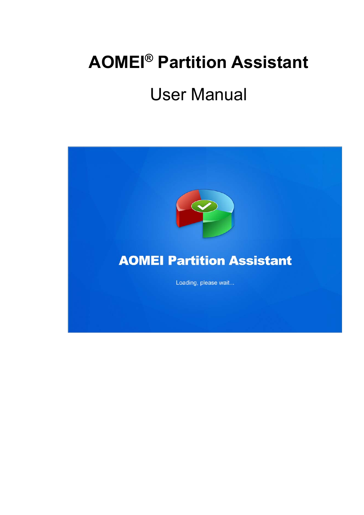# **AOMEI® Partition Assistant**

# User Manual

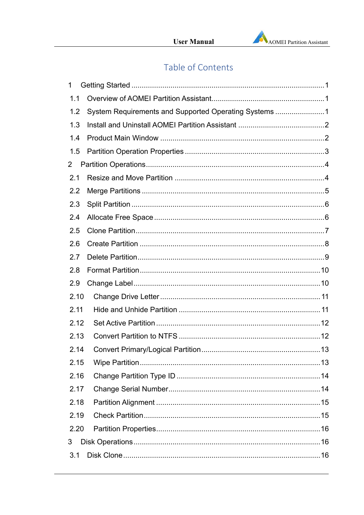# Table of Contents

| 1              |                                                       |  |
|----------------|-------------------------------------------------------|--|
| 1.1            |                                                       |  |
| 1.2            | System Requirements and Supported Operating Systems 1 |  |
| 1.3            |                                                       |  |
| 1.4            |                                                       |  |
| 1.5            |                                                       |  |
| $\overline{2}$ |                                                       |  |
| 2.1            |                                                       |  |
| 2.2            |                                                       |  |
| 2.3            |                                                       |  |
| 2.4            |                                                       |  |
| 2.5            |                                                       |  |
| 2.6            |                                                       |  |
| 2.7            |                                                       |  |
| 2.8            |                                                       |  |
| 2.9            |                                                       |  |
| 2.10           |                                                       |  |
| 2.11           |                                                       |  |
| 2.12           |                                                       |  |
| 2.13           |                                                       |  |
| 2.14           |                                                       |  |
| 2.15           |                                                       |  |
| 2.16           |                                                       |  |
| 2.17           |                                                       |  |
| 2.18           |                                                       |  |
| 2.19           |                                                       |  |
| 2.20           |                                                       |  |
| 3              |                                                       |  |
| 3.1            |                                                       |  |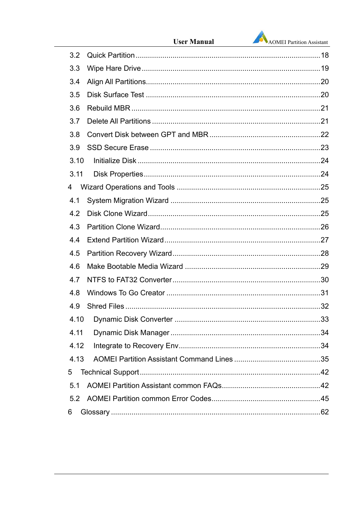|      | <b>User Manual</b> | AOMEI Partition Assistant |
|------|--------------------|---------------------------|
| 3.2  |                    |                           |
| 3.3  |                    |                           |
| 3.4  |                    |                           |
| 3.5  |                    |                           |
| 3.6  |                    |                           |
| 3.7  |                    |                           |
| 3.8  |                    |                           |
| 3.9  |                    |                           |
| 3.10 |                    |                           |
| 3.11 |                    |                           |
| 4    |                    |                           |
| 4.1  |                    |                           |
| 4.2  |                    |                           |
| 4.3  |                    |                           |
| 4.4  |                    |                           |
| 4.5  |                    |                           |
| 4.6  |                    |                           |
| 4.7  |                    |                           |
| 4.8  |                    |                           |
| 4.9  |                    |                           |
| 4.10 |                    |                           |
| 4.11 |                    |                           |
| 4.12 |                    |                           |
| 4.13 |                    |                           |
| 5    |                    |                           |
| 5.1  |                    |                           |
| 5.2  |                    |                           |
| 6    |                    |                           |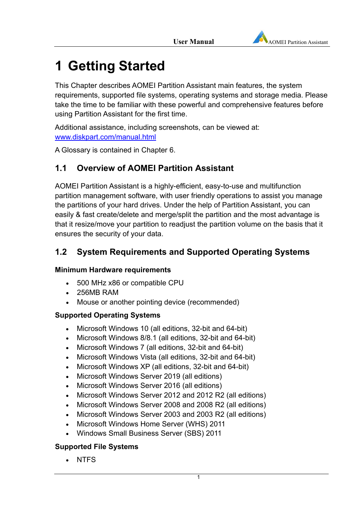# **1 Getting Started**

This Chapter describes AOMEI Partition Assistant main features, the system requirements, supported file systems, operating systems and storage media. Please take the time to be familiar with these powerful and comprehensive features before using Partition Assistant for the first time.

Additional assistance, including screenshots, can be viewed at: www.diskpart.com/manual.html

A Glossary is contained in Chapter 6.

# **1.1 Overview of AOMEI Partition Assistant**

AOMEI Partition Assistant is a highly-efficient, easy-to-use and multifunction partition management software, with user friendly operations to assist you manage the partitions of your hard drives. Under the help of Partition Assistant, you can easily & fast create/delete and merge/split the partition and the most advantage is that it resize/move your partition to readjust the partition volume on the basis that it ensures the security of your data.

# **1.2 System Requirements and Supported Operating Systems**

### **Minimum Hardware requirements**

- 500 MHz x86 or compatible CPU
- 256MB RAM
- Mouse or another pointing device (recommended)

### **Supported Operating Systems**

- Microsoft Windows 10 (all editions, 32-bit and 64-bit)
- Microsoft Windows 8/8.1 (all editions, 32-bit and 64-bit)
- Microsoft Windows 7 (all editions, 32-bit and 64-bit)
- Microsoft Windows Vista (all editions, 32-bit and 64-bit)
- Microsoft Windows XP (all editions, 32-bit and 64-bit)
- Microsoft Windows Server 2019 (all editions)
- Microsoft Windows Server 2016 (all editions)
- Microsoft Windows Server 2012 and 2012 R2 (all editions)
- Microsoft Windows Server 2008 and 2008 R2 (all editions)
- Microsoft Windows Server 2003 and 2003 R2 (all editions)
- Microsoft Windows Home Server (WHS) 2011
- Windows Small Business Server (SBS) 2011

### **Supported File Systems**

. NTFS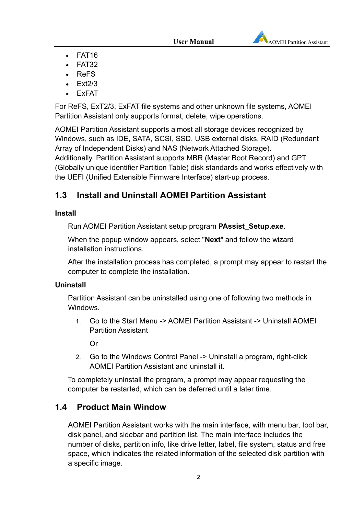

- $\cdot$  FAT16
- $\cdot$  FAT32
- ReFS
- Ext2/3
- ExFAT

For ReFS, ExT2/3, ExFAT file systems and other unknown file systems, AOMEI Partition Assistant only supports format, delete, wipe operations.

AOMEI Partition Assistant supports almost all storage devices recognized by Windows, such as IDE, SATA, SCSI, SSD, USB external disks, RAID (Redundant Array of Independent Disks) and NAS (Network Attached Storage). Additionally, Partition Assistant supports MBR (Master Boot Record) and GPT (Globally unique identifier Partition Table) disk standards and works effectively with the UEFI (Unified Extensible Firmware Interface) start-up process.

# **1.3 Install and Uninstall AOMEI Partition Assistant**

### **Install**

Run AOMEI Partition Assistant setup program **PAssist\_Setup.exe**.

When the popup window appears, select "**Next**" and follow the wizard installation instructions.

After the installation process has completed, a prompt may appear to restart the computer to complete the installation.

### **Uninstall**

Partition Assistant can be uninstalled using one of following two methods in **Windows** 

1. Go to the Start Menu -> AOMEI Partition Assistant -> Uninstall AOMEI Partition Assistant

Or

2. Go to the Windows Control Panel -> Uninstall a program, right-click AOMEI Partition Assistant and uninstall it.

To completely uninstall the program, a prompt may appear requesting the computer be restarted, which can be deferred until a later time.

# **1.4 Product Main Window**

AOMEI Partition Assistant works with the main interface, with menu bar, tool bar, disk panel, and sidebar and partition list. The main interface includes the number of disks, partition info, like drive letter, label, file system, status and free space, which indicates the related information of the selected disk partition with a specific image.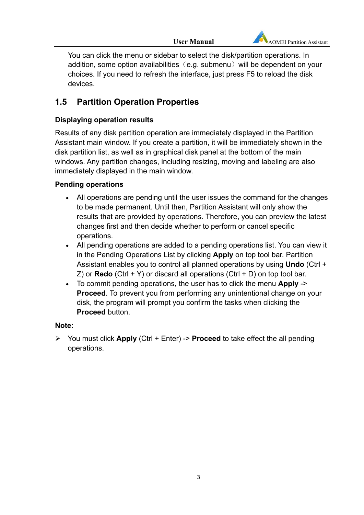

You can click the menu or sidebar to select the disk/partition operations. In addition, some option availabilities  $(e.g.$  submenu) will be dependent on your choices. If you need to refresh the interface, just press F5 to reload the disk devices.

# **1.5 Partition Operation Properties**

### **Displaying operation results**

Results of any disk partition operation are immediately displayed in the Partition Assistant main window. If you create a partition, it will be immediately shown in the disk partition list, as well as in graphical disk panel at the bottom of the main windows. Any partition changes, including resizing, moving and labeling are also immediately displayed in the main window.

### **Pending operations**

- All operations are pending until the user issues the command for the changes to be made permanent. Until then, Partition Assistant will only show the results that are provided by operations. Therefore, you can preview the latest changes first and then decide whether to perform or cancel specific operations.
- All pending operations are added to a pending operations list. You can view it in the Pending Operations List by clicking **Apply** on top tool bar. Partition Assistant enables you to control all planned operations by using **Undo** (Ctrl + Z) or **Redo** (Ctrl + Y) or discard all operations (Ctrl + D) on top tool bar.
- To commit pending operations, the user has to click the menu **Apply** -> **Proceed**. To prevent you from performing any unintentional change on your disk, the program will prompt you confirm the tasks when clicking the **Proceed** button.

### **Note:**

 You must click **Apply** (Ctrl + Enter) -> **Proceed** to take effect the all pending operations.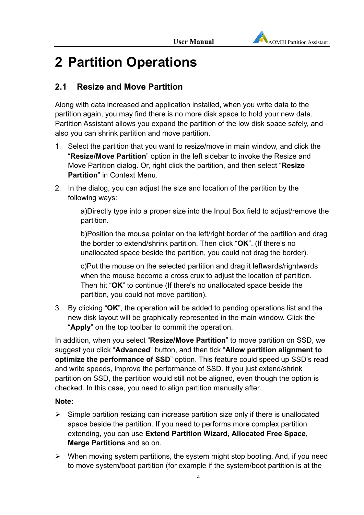

# **2 Partition Operations**

# **2.1 Resize and Move Partition**

Along with data increased and application installed, when you write data to the partition again, you may find there is no more disk space to hold your new data. Partition Assistant allows you expand the partition of the low disk space safely, and also you can shrink partition and move partition.

- 1. Select the partition that you want to resize/move in main window, and click the "**Resize/Move Partition**" option in the left sidebar to invoke the Resize and Move Partition dialog. Or, right click the partition, and then select "**Resize Partition**" in Context Menu.
- 2. In the dialog, you can adjust the size and location of the partition by the following ways:

a)Directly type into a proper size into the Input Box field to adjust/remove the partition.

b)Position the mouse pointer on the left/right border of the partition and drag the border to extend/shrink partition. Then click "**OK**". (If there's no unallocated space beside the partition, you could not drag the border).

c)Put the mouse on the selected partition and drag it leftwards/rightwards when the mouse become a cross crux to adjust the location of partition. Then hit "**OK**" to continue (If there's no unallocated space beside the partition, you could not move partition).

3. By clicking "**OK**", the operation will be added to pending operations list and the new disk layout will be graphically represented in the main window. Click the "**Apply**" on the top toolbar to commit the operation.

In addition, when you select "**Resize/Move Partition**" to move partition on SSD, we suggest you click "**Advanced**" button, and then tick "**Allow partition alignment to optimize the performance of SSD**" option. This feature could speed up SSD's read and write speeds, improve the performance of SSD. If you just extend/shrink partition on SSD, the partition would still not be aligned, even though the option is checked. In this case, you need to align partition manually after.

### **Note:**

- $\triangleright$  Simple partition resizing can increase partition size only if there is unallocated space beside the partition. If you need to performs more complex partition extending, you can use **Extend Partition Wizard**, **Allocated Free Space**, **Merge Partitions** and so on.
- $\triangleright$  When moving system partitions, the system might stop booting. And, if you need to move system/boot partition (for example if the system/boot partition is at the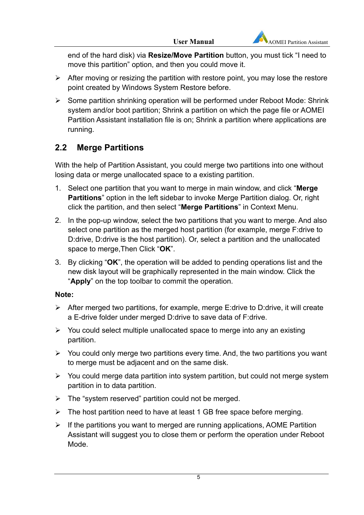end of the hard disk) via **Resize/Move Partition** button, you must tick "I need to move this partition" option, and then you could move it.

- $\triangleright$  After moving or resizing the partition with restore point, you may lose the restore point created by Windows System Restore before.
- $\triangleright$  Some partition shrinking operation will be performed under Reboot Mode: Shrink system and/or boot partition; Shrink a partition on which the page file or AOMEI Partition Assistant installation file is on; Shrink a partition where applications are running.

# **2.2 Merge Partitions**

With the help of Partition Assistant, you could merge two partitions into one without losing data or merge unallocated space to a existing partition.

- 1. Select one partition that you want to merge in main window, and click "**Merge Partitions**" option in the left sidebar to invoke Merge Partition dialog. Or, right click the partition, and then select "**Merge Partitions**" in Context Menu.
- 2. In the pop-up window, select the two partitions that you want to merge. And also select one partition as the merged host partition (for example, merge F:drive to D:drive, D:drive is the host partition). Or, select a partition and the unallocated space to merge,Then Click "**OK**".
- 3. By clicking "**OK**", the operation will be added to pending operations list and the new disk layout will be graphically represented in the main window. Click the "**Apply**" on the top toolbar to commit the operation.

### **Note:**

- $\triangleright$  After merged two partitions, for example, merge E:drive to D:drive, it will create a E-drive folder under merged D:drive to save data of F:drive.
- $\triangleright$  You could select multiple unallocated space to merge into any an existing partition.
- $\triangleright$  You could only merge two partitions every time. And, the two partitions you want to merge must be adjacent and on the same disk.
- $\triangleright$  You could merge data partition into system partition, but could not merge system partition in to data partition.
- $\triangleright$  The "system reserved" partition could not be merged.
- $\triangleright$  The host partition need to have at least 1 GB free space before merging.
- $\triangleright$  If the partitions you want to merged are running applications, AOME Partition Assistant will suggest you to close them or perform the operation under Reboot Mode.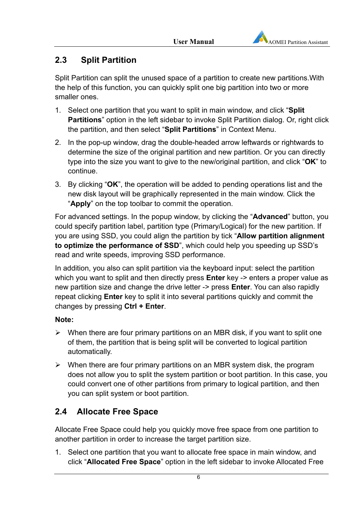# **2.3 Split Partition**

Split Partition can split the unused space of a partition to create new partitions.With the help of this function, you can quickly split one big partition into two or more smaller ones.

- 1. Select one partition that you want to split in main window, and click "**Split Partitions**" option in the left sidebar to invoke Split Partition dialog. Or, right click the partition, and then select "**Split Partitions**" in Context Menu.
- 2. In the pop-up window, drag the double-headed arrow leftwards or rightwards to determine the size of the original partition and new partition. Or you can directly type into the size you want to give to the new/original partition, and click "**OK**" to continue.
- 3. By clicking "**OK**", the operation will be added to pending operations list and the new disk layout will be graphically represented in the main window. Click the "**Apply**" on the top toolbar to commit the operation.

For advanced settings. In the popup window, by clicking the "**Advanced**" button, you could specify partition label, partition type (Primary/Logical) for the new partition. If you are using SSD, you could align the partition by tick "**Allow partition alignment to optimize the performance of SSD**", which could help you speeding up SSD's read and write speeds, improving SSD performance.

In addition, you also can split partition via the keyboard input: select the partition which you want to split and then directly press **Enter** key -> enters a proper value as new partition size and change the drive letter -> press **Enter**. You can also rapidly repeat clicking **Enter** key to split it into several partitions quickly and commit the changes by pressing **Ctrl + Enter**.

### **Note:**

- $\triangleright$  When there are four primary partitions on an MBR disk, if you want to split one of them, the partition that is being split will be converted to logical partition automatically.
- $\triangleright$  When there are four primary partitions on an MBR system disk, the program does not allow you to split the system partition or boot partition. In this case, you could convert one of other partitions from primary to logical partition, and then you can split system or boot partition.

# **2.4 Allocate Free Space**

Allocate Free Space could help you quickly move free space from one partition to another partition in order to increase the target partition size.

1. Select one partition that you want to allocate free space in main window, and click "**Allocated Free Space**" option in the left sidebar to invoke Allocated Free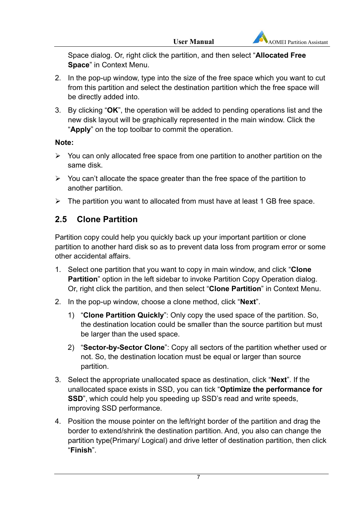Space dialog. Or, right click the partition, and then select "**Allocated Free Space**" in Context Menu.

- 2. In the pop-up window, type into the size of the free space which you want to cut from this partition and select the destination partition which the free space will be directly added into.
- 3. By clicking "**OK**", the operation will be added to pending operations list and the new disk layout will be graphically represented in the main window. Click the "**Apply**" on the top toolbar to commit the operation.

### **Note:**

- $\triangleright$  You can only allocated free space from one partition to another partition on the same disk.
- $\triangleright$  You can't allocate the space greater than the free space of the partition to another partition.
- $\triangleright$  The partition you want to allocated from must have at least 1 GB free space.

# **2.5 Clone Partition**

Partition copy could help you quickly back up your important partition or clone partition to another hard disk so as to prevent data loss from program error or some other accidental affairs.

- 1. Select one partition that you want to copy in main window, and click "**Clone Partition**" option in the left sidebar to invoke Partition Copy Operation dialog. Or, right click the partition, and then select "**Clone Partition**" in Context Menu.
- 2. In the pop-up window, choose a clone method, click "**Next**".
	- 1) "**Clone Partition Quickly**": Only copy the used space of the partition. So, the destination location could be smaller than the source partition but must be larger than the used space.
	- 2) "**Sector-by-Sector Clone**": Copy all sectors of the partition whether used or not. So, the destination location must be equal or larger than source partition.
- 3. Select the appropriate unallocated space as destination, click "**Next**". If the unallocated space exists in SSD, you can tick "**Optimize the performance for SSD**", which could help you speeding up SSD's read and write speeds, improving SSD performance.
- 4. Position the mouse pointer on the left/right border of the partition and drag the border to extend/shrink the destination partition. And, you also can change the partition type(Primary/ Logical) and drive letter of destination partition, then click "**Finish**".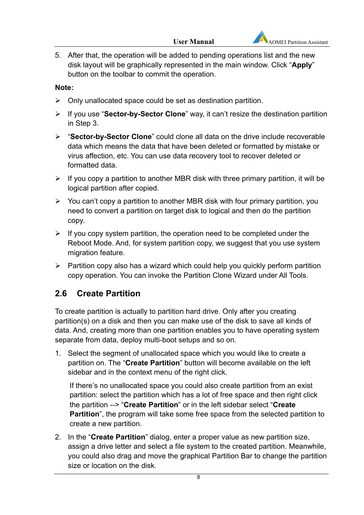5. After that, the operation will be added to pending operations list and the new disk layout will be graphically represented in the main window. Click "**Apply**" button on the toolbar to commit the operation.

### **Note:**

- $\triangleright$  Only unallocated space could be set as destination partition.
- If you use "**Sector-by-Sector Clone**" way, it can't resize the destination partition in Step 3.
- "**Sector-by-Sector Clone**" could clone all data on the drive include recoverable data which means the data that have been deleted or formatted by mistake or virus affection, etc. You can use data recovery tool to recover deleted or formatted data.
- $\triangleright$  If you copy a partition to another MBR disk with three primary partition, it will be logical partition after copied.
- $\triangleright$  You can't copy a partition to another MBR disk with four primary partition, you need to convert a partition on target disk to logical and then do the partition copy.
- $\triangleright$  If you copy system partition, the operation need to be completed under the Reboot Mode. And, for system partition copy, we suggest that you use system migration feature.
- $\triangleright$  Partition copy also has a wizard which could help you quickly perform partition copy operation. You can invoke the Partition Clone Wizard under All Tools.

# **2.6 Create Partition**

To create partition is actually to partition hard drive. Only after you creating partition(s) on a disk and then you can make use of the disk to save all kinds of data. And, creating more than one partition enables you to have operating system separate from data, deploy multi-boot setups and so on.

1. Select the segment of unallocated space which you would like to create a partition on. The "**Create Partition**" button will become available on the left sidebar and in the context menu of the right click.

If there's no unallocated space you could also create partition from an exist partition: select the partition which has a lot of free space and then right click the partition --> "**Create Partition**" or in the left sidebar select "**Create Partition**", the program will take some free space from the selected partition to create a new partition.

2. In the "**Create Partition**" dialog, enter a proper value as new partition size, assign a drive letter and select a file system to the created partition. Meanwhile, you could also drag and move the graphical Partition Bar to change the partition size or location on the disk.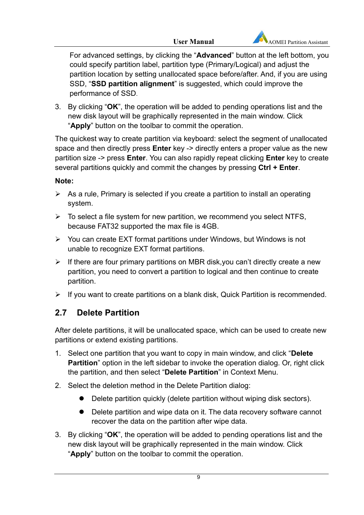

For advanced settings, by clicking the "**Advanced**" button at the left bottom, you could specify partition label, partition type (Primary/Logical) and adjust the partition location by setting unallocated space before/after. And, if you are using SSD, "**SSD partition alignment**" is suggested, which could improve the performance of SSD.

3. By clicking "**OK**", the operation will be added to pending operations list and the new disk layout will be graphically represented in the main window. Click "**Apply**" button on the toolbar to commit the operation.

The quickest way to create partition via keyboard: select the segment of unallocated space and then directly press **Enter** key -> directly enters a proper value as the new partition size -> press **Enter**. You can also rapidly repeat clicking **Enter** key to create several partitions quickly and commit the changes by pressing **Ctrl + Enter**.

### **Note:**

- $\triangleright$  As a rule, Primary is selected if you create a partition to install an operating system.
- $\triangleright$  To select a file system for new partition, we recommend you select NTFS, because FAT32 supported the max file is 4GB.
- $\triangleright$  You can create EXT format partitions under Windows, but Windows is not unable to recognize EXT format partitions.
- $\triangleright$  If there are four primary partitions on MBR disk, you can't directly create a new partition, you need to convert a partition to logical and then continue to create partition.
- $\triangleright$  If you want to create partitions on a blank disk, Quick Partition is recommended.

# **2.7 Delete Partition**

After delete partitions, it will be unallocated space, which can be used to create new partitions or extend existing partitions.

- 1. Select one partition that you want to copy in main window, and click "**Delete Partition**" option in the left sidebar to invoke the operation dialog. Or, right click the partition, and then select "**Delete Partition**" in Context Menu.
- 2. Select the deletion method in the Delete Partition dialog:
	- Delete partition quickly (delete partition without wiping disk sectors).
	- Delete partition and wipe data on it. The data recovery software cannot recover the data on the partition after wipe data.
- 3. By clicking "**OK**", the operation will be added to pending operations list and the new disk layout will be graphically represented in the main window. Click "**Apply**" button on the toolbar to commit the operation.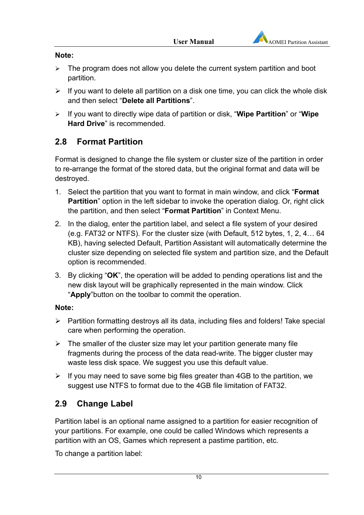#### **Note:**

- $\triangleright$  The program does not allow you delete the current system partition and boot partition.
- $\triangleright$  If you want to delete all partition on a disk one time, you can click the whole disk and then select "**Delete all Partitions**".
- If you want to directly wipe data of partition or disk, "**Wipe Partition**" or "**Wipe Hard Drive**" is recommended.

# **2.8 Format Partition**

Format is designed to change the file system or cluster size of the partition in order to re-arrange the format of the stored data, but the original format and data will be destroyed.

- 1. Select the partition that you want to format in main window, and click "**Format Partition**" option in the left sidebar to invoke the operation dialog. Or, right click the partition, and then select "**Format Partition**" in Context Menu.
- 2. In the dialog, enter the partition label, and select a file system of your desired (e.g. FAT32 or NTFS). For the cluster size (with Default, 512 bytes, 1, 2, 4… 64 KB), having selected Default, Partition Assistant will automatically determine the cluster size depending on selected file system and partition size, and the Default option is recommended.
- 3. By clicking "**OK**", the operation will be added to pending operations list and the new disk layout will be graphically represented in the main window. Click "**Apply**"button on the toolbar to commit the operation.

### **Note:**

- $\triangleright$  Partition formatting destroys all its data, including files and folders! Take special care when performing the operation.
- $\triangleright$  The smaller of the cluster size may let your partition generate many file fragments during the process of the data read-write. The bigger cluster may waste less disk space. We suggest you use this default value.
- $\triangleright$  If you may need to save some big files greater than 4GB to the partition, we suggest use NTFS to format due to the 4GB file limitation of FAT32.

# **2.9 Change Label**

Partition label is an optional name assigned to a partition for easier recognition of your partitions. For example, one could be called Windows which represents a partition with an OS, Games which represent a pastime partition, etc.

To change a partition label: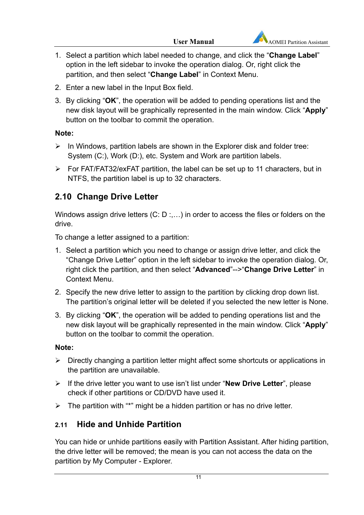- 1. Select a partition which label needed to change, and click the "**Change Label**" option in the left sidebar to invoke the operation dialog. Or, right click the partition, and then select "**Change Label**" in Context Menu.
- 2. Enter a new label in the Input Box field.
- 3. By clicking "**OK**", the operation will be added to pending operations list and the new disk layout will be graphically represented in the main window. Click "**Apply**" button on the toolbar to commit the operation.

### **Note:**

- $\triangleright$  In Windows, partition labels are shown in the Explorer disk and folder tree: System (C:), Work (D:), etc. System and Work are partition labels.
- $\triangleright$  For FAT/FAT32/exFAT partition, the label can be set up to 11 characters, but in NTFS, the partition label is up to 32 characters.

# **2.10 Change Drive Letter**

Windows assign drive letters (C: D :,...) in order to access the files or folders on the drive.

To change a letter assigned to a partition:

- 1. Select a partition which you need to change or assign drive letter, and click the "Change Drive Letter" option in the left sidebar to invoke the operation dialog. Or, right click the partition, and then select "**Advanced**"-->"**Change Drive Letter**" in Context Menu.
- 2. Specify the new drive letter to assign to the partition by clicking drop down list. The partition's original letter will be deleted if you selected the new letter is None.
- 3. By clicking "**OK**", the operation will be added to pending operations list and the new disk layout will be graphically represented in the main window. Click "**Apply**" button on the toolbar to commit the operation.

### **Note:**

- $\triangleright$  Directly changing a partition letter might affect some shortcuts or applications in the partition are unavailable.
- If the drive letter you want to use isn't list under "**New Drive Letter**", please check if other partitions or CD/DVD have used it.
- $\triangleright$  The partition with "\*" might be a hidden partition or has no drive letter.

# **2.11 Hide and Unhide Partition**

You can hide or unhide partitions easily with Partition Assistant. After hiding partition, the drive letter will be removed; the mean is you can not access the data on the partition by My Computer - Explorer.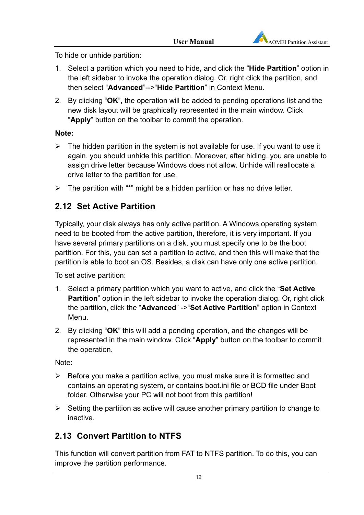

To hide or unhide partition:

- 1. Select a partition which you need to hide, and click the "**Hide Partition**" option in the left sidebar to invoke the operation dialog. Or, right click the partition, and then select "**Advanced**"-->"**Hide Partition**" in Context Menu.
- 2. By clicking "**OK**", the operation will be added to pending operations list and the new disk layout will be graphically represented in the main window. Click "**Apply**" button on the toolbar to commit the operation.

### **Note:**

- $\triangleright$  The hidden partition in the system is not available for use. If you want to use it again, you should unhide this partition. Moreover, after hiding, you are unable to assign drive letter because Windows does not allow. Unhide will reallocate a drive letter to the partition for use.
- $\triangleright$  The partition with "\*" might be a hidden partition or has no drive letter.

# **2.12 Set Active Partition**

Typically, your disk always has only active partition. A Windows operating system need to be booted from the active partition, therefore, it is very important. If you have several primary partitions on a disk, you must specify one to be the boot partition. For this, you can set a partition to active, and then this will make that the partition is able to boot an OS. Besides, a disk can have only one active partition.

To set active partition:

- 1. Select a primary partition which you want to active, and click the "**Set Active Partition**" option in the left sidebar to invoke the operation dialog. Or, right click the partition, click the "**Advanced**" ->"**Set Active Partition**" option in Context Menu.
- 2. By clicking "**OK**" this will add a pending operation, and the changes will be represented in the main window. Click "**Apply**" button on the toolbar to commit the operation.

Note:

- $\triangleright$  Before you make a partition active, you must make sure it is formatted and contains an operating system, or contains boot.ini file or BCD file under Boot folder. Otherwise your PC will not boot from this partition!
- $\triangleright$  Setting the partition as active will cause another primary partition to change to inactive.

# **2.13 Convert Partition to NTFS**

This function will convert partition from FAT to NTFS partition. To do this, you can improve the partition performance.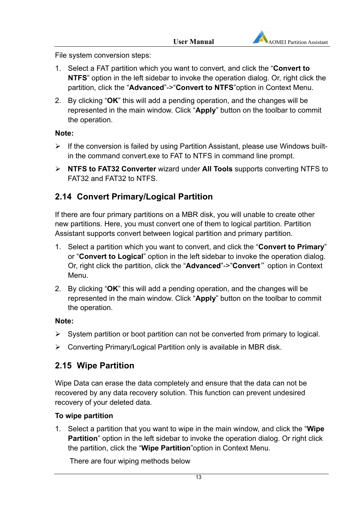File system conversion steps:

- 1. Select a FAT partition which you want to convert, and click the "**Convert to NTFS**" option in the left sidebar to invoke the operation dialog. Or, right click the partition, click the "**Advanced**"->"**Convert to NTFS**"option in Context Menu.
- 2. By clicking "**OK**" this will add a pending operation, and the changes will be represented in the main window. Click "**Apply**" button on the toolbar to commit the operation.

#### **Note:**

- $\triangleright$  If the conversion is failed by using Partition Assistant, please use Windows builtin the command convert.exe to FAT to NTFS in command line prompt.
- **NTFS to FAT32 Converter** wizard under **All Tools** supports converting NTFS to FAT32 and FAT32 to NTFS.

# **2.14 Convert Primary/Logical Partition**

If there are four primary partitions on a MBR disk, you will unable to create other new partitions. Here, you must convert one of them to logical partition. Partition Assistant supports convert between logical partition and primary partition.

- 1. Select a partition which you want to convert, and click the "**Convert to Primary**" or "**Convert to Logical**" option in the left sidebar to invoke the operation dialog. Or, right click the partition, click the "**Advanced**"->"**Convert**"option in Context Menu.
- 2. By clicking "**OK**" this will add a pending operation, and the changes will be represented in the main window. Click "**Apply**" button on the toolbar to commit the operation.

### **Note:**

- $\triangleright$  System partition or boot partition can not be converted from primary to logical.
- Converting Primary/Logical Partition only is available in MBR disk.

### **2.15 Wipe Partition**

Wipe Data can erase the data completely and ensure that the data can not be recovered by any data recovery solution. This function can prevent undesired recovery of your deleted data.

#### **To wipe partition**

1. Select a partition that you want to wipe in the main window, and click the "**Wipe Partition**" option in the left sidebar to invoke the operation dialog. Or right click the partition, click the "**Wipe Partition**"option in Context Menu.

There are four wiping methods below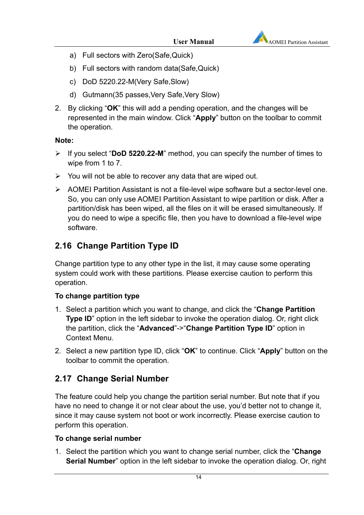

- a) Full sectors with Zero(Safe,Quick)
- b) Full sectors with random data(Safe,Quick)
- c) DoD 5220.22-M(Very Safe,Slow)
- d) Gutmann(35 passes,Very Safe,Very Slow)
- 2. By clicking "**OK**" this will add a pending operation, and the changes will be represented in the main window. Click "**Apply**" button on the toolbar to commit the operation.

#### **Note:**

- If you select "**DoD 5220.22-M**" method, you can specify the number of times to wipe from 1 to 7.
- $\triangleright$  You will not be able to recover any data that are wiped out.
- AOMEI Partition Assistant is not a file-level wipe software but a sector-level one. So, you can only use AOMEI Partition Assistant to wipe partition or disk. After a partition/disk has been wiped, all the files on it will be erased simultaneously. If you do need to wipe a specific file, then you have to download a file-level wipe software.

# **2.16 Change Partition Type ID**

Change partition type to any other type in the list, it may cause some operating system could work with these partitions. Please exercise caution to perform this operation.

#### **To change partition type**

- 1. Select a partition which you want to change, and click the "**Change Partition Type ID**" option in the left sidebar to invoke the operation dialog. Or, right click the partition, click the "**Advanced**"->"**Change Partition Type ID**" option in Context Menu.
- 2. Select a new partition type ID, click "**OK**" to continue. Click "**Apply**" button on the toolbar to commit the operation.

# **2.17 Change Serial Number**

The feature could help you change the partition serial number. But note that if you have no need to change it or not clear about the use, you'd better not to change it, since it may cause system not boot or work incorrectly. Please exercise caution to perform this operation.

#### **To change serial number**

1. Select the partition which you want to change serial number, click the "**Change Serial Number**" option in the left sidebar to invoke the operation dialog. Or, right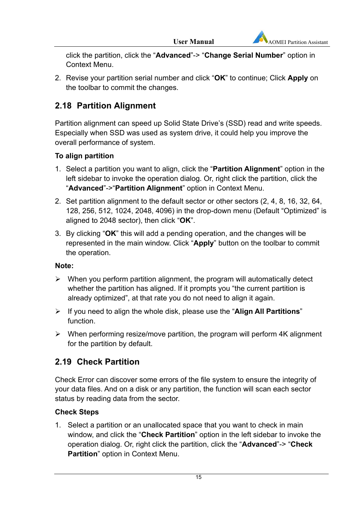click the partition, click the "**Advanced**"-> "**Change Serial Number**" option in Context Menu.

2. Revise your partition serial number and click "**OK**" to continue; Click **Apply** on the toolbar to commit the changes.

# **2.18 Partition Alignment**

Partition alignment can speed up Solid State Drive's (SSD) read and write speeds. Especially when SSD was used as system drive, it could help you improve the overall performance of system.

### **To align partition**

- 1. Select a partition you want to align, click the "**Partition Alignment**" option in the left sidebar to invoke the operation dialog. Or, right click the partition, click the "**Advanced**"->"**Partition Alignment**" option in Context Menu.
- 2. Set partition alignment to the default sector or other sectors (2, 4, 8, 16, 32, 64, 128, 256, 512, 1024, 2048, 4096) in the drop-down menu (Default "Optimized" is aligned to 2048 sector), then click "**OK**".
- 3. By clicking "**OK**" this will add a pending operation, and the changes will be represented in the main window. Click "**Apply**" button on the toolbar to commit the operation.

### **Note:**

- $\triangleright$  When you perform partition alignment, the program will automatically detect whether the partition has aligned. If it prompts you "the current partition is already optimized", at that rate you do not need to align it again.
- If you need to align the whole disk, please use the "**Align All Partitions**" function.
- $\triangleright$  When performing resize/move partition, the program will perform 4K alignment for the partition by default.

# **2.19 Check Partition**

Check Error can discover some errors of the file system to ensure the integrity of your data files. And on a disk or any partition, the function will scan each sector status by reading data from the sector.

### **Check Steps**

1. Select a partition or an unallocated space that you want to check in main window, and click the "**Check Partition**" option in the left sidebar to invoke the operation dialog. Or, right click the partition, click the "**Advanced**"-> "**Check Partition**" option in Context Menu.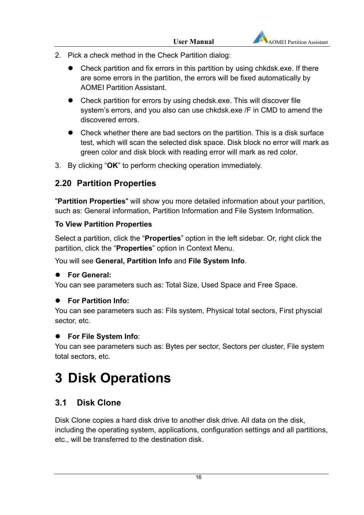

- 2. Pick a check method in the Check Partition dialog:
	- Check partition and fix errors in this partition by using chkdsk.exe. If there are some errors in the partition, the errors will be fixed automatically by AOMEI Partition Assistant.
	- Check partition for errors by using chedsk.exe. This will discover file system's errors, and you also can use chkdsk.exe /F in CMD to amend the discovered errors.
	- Check whether there are bad sectors on the partition. This is a disk surface test, which will scan the selected disk space. Disk block no error will mark as green color and disk block with reading error will mark as red color.
- 3. By clicking "**OK**" to perform checking operation immediately.

# **2.20 Partition Properties**

"**Partition Properties**" will show you more detailed information about your partition, such as: General information, Partition Information and File System Information.

### **To View Partition Properties**

Select a partition, click the "**Properties**" option in the left sidebar. Or, right click the partition, click the "**Properties**" option in Context Menu.

### You will see **General, Partition Info** and **File System Info**.

### **For General:**

You can see parameters such as: Total Size, Used Space and Free Space.

### **For Partition Info:**

You can see parameters such as: Fils system, Physical total sectors, First physcial sector, etc.

### **For File System Info**:

You can see parameters such as: Bytes per sector, Sectors per cluster, File system total sectors, etc.

# **3 Disk Operations**

# **3.1 Disk Clone**

Disk Clone copies a hard disk drive to another disk drive. All data on the disk, including the operating system, applications, configuration settings and all partitions, etc., will be transferred to the destination disk.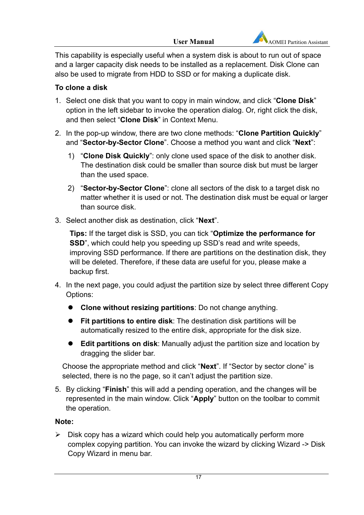This capability is especially useful when a system disk is about to run out of space and a larger capacity disk needs to be installed as a replacement. Disk Clone can also be used to migrate from HDD to SSD or for making a duplicate disk.

### **To clone a disk**

- 1. Select one disk that you want to copy in main window, and click "**Clone Disk**" option in the left sidebar to invoke the operation dialog. Or, right click the disk, and then select "**Clone Disk**" in Context Menu.
- 2. In the pop-up window, there are two clone methods: "**Clone Partition Quickly**" and "**Sector-by-Sector Clone**". Choose a method you want and click "**Next**":
	- 1) "**Clone Disk Quickly**": only clone used space of the disk to another disk. The destination disk could be smaller than source disk but must be larger than the used space.
	- 2) "**Sector-by-Sector Clone**": clone all sectors of the disk to a target disk no matter whether it is used or not. The destination disk must be equal or larger than source disk.
- 3. Select another disk as destination, click "**Next**".

**Tips:** If the target disk is SSD, you can tick "**Optimize the performance for SSD**", which could help you speeding up SSD's read and write speeds, improving SSD performance. If there are partitions on the destination disk, they will be deleted. Therefore, if these data are useful for you, please make a backup first.

- 4. In the next page, you could adjust the partition size by select three different Copy Options:
	- **Clone without resizing partitions**: Do not change anything.
	- **Fit partitions to entire disk**: The destination disk partitions will be automatically resized to the entire disk, appropriate for the disk size.
	- **Edit partitions on disk**: Manually adjust the partition size and location by dragging the slider bar.

Choose the appropriate method and click "**Next**". If "Sector by sector clone" is selected, there is no the page, so it can't adjust the partition size.

5. By clicking "**Finish**" this will add a pending operation, and the changes will be represented in the main window. Click "**Apply**" button on the toolbar to commit the operation.

### **Note:**

 $\triangleright$  Disk copy has a wizard which could help you automatically perform more complex copying partition. You can invoke the wizard by clicking Wizard -> Disk Copy Wizard in menu bar.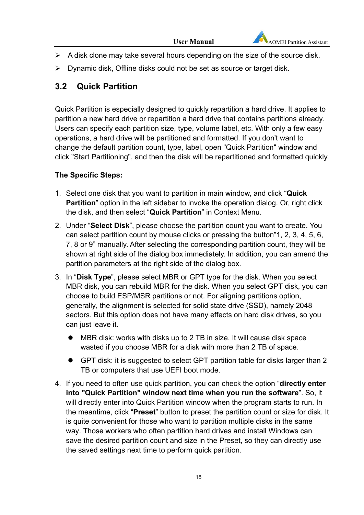- $\triangleright$  A disk clone may take several hours depending on the size of the source disk.
- $\triangleright$  Dynamic disk, Offline disks could not be set as source or target disk.

# **3.2 Quick Partition**

Quick Partition is especially designed to quickly repartition a hard drive. It applies to partition a new hard drive or repartition a hard drive that contains partitions already. Users can specify each partition size, type, volume label, etc. With only a few easy operations, a hard drive will be partitioned and formatted. If you don't want to change the default partition count, type, label, open "Quick Partition" window and click "Start Partitioning", and then the disk will be repartitioned and formatted quickly.

### **The Specific Steps:**

- 1. Select one disk that you want to partition in main window, and click "**Quick Partition**" option in the left sidebar to invoke the operation dialog. Or, right click the disk, and then select "**Quick Partition**" in Context Menu.
- 2. Under "**Select Disk**", please choose the partition count you want to create. You can select partition count by mouse clicks or pressing the button"1, 2, 3, 4, 5, 6, 7, 8 or 9" manually. After selecting the corresponding partition count, they will be shown at right side of the dialog box immediately. In addition, you can amend the partition parameters at the right side of the dialog box.
- 3. In "**Disk Type**", please select MBR or GPT type for the disk. When you select MBR disk, you can rebuild MBR for the disk. When you select GPT disk, you can choose to build ESP/MSR partitions or not. For aligning partitions option, generally, the alignment is selected for solid state drive (SSD), namely 2048 sectors. But this option does not have many effects on hard disk drives, so you can just leave it.
	- MBR disk: works with disks up to 2 TB in size. It will cause disk space wasted if you choose MBR for a disk with more than 2 TB of space.
	- GPT disk: it is suggested to select GPT partition table for disks larger than 2 TB or computers that use UEFI boot mode.
- 4. If you need to often use quick partition, you can check the option "**directly enter into "Quick Partition" window next time when you run the software**". So, it will directly enter into Quick Partition window when the program starts to run. In the meantime, click "**Preset**" button to preset the partition count or size for disk. It is quite convenient for those who want to partition multiple disks in the same way. Those workers who often partition hard drives and install Windows can save the desired partition count and size in the Preset, so they can directly use the saved settings next time to perform quick partition.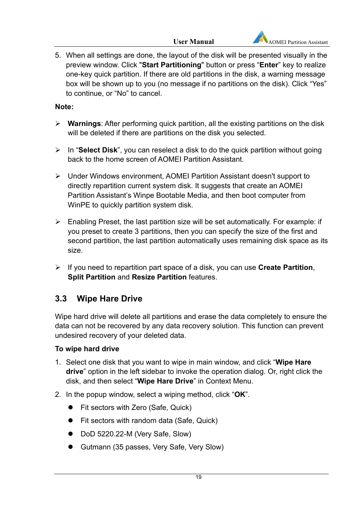

5. When all settings are done, the layout of the disk will be presented visually in the preview window. Click "**Start Partitioning**" button or press "**Enter**" key to realize one-key quick partition. If there are old partitions in the disk, a warning message box will be shown up to you (no message if no partitions on the disk). Click "Yes" to continue, or "No" to cancel.

### **Note:**

- **Warnings**: After performing quick partition, all the existing partitions on the disk will be deleted if there are partitions on the disk you selected.
- In "**Select Disk**", you can reselect a disk to do the quick partition without going back to the home screen of AOMEI Partition Assistant.
- Under Windows environment, AOMEI Partition Assistant doesn't support to directly repartition current system disk. It suggests that create an AOMEI Partition Assistant's Winpe Bootable Media, and then boot computer from WinPE to quickly partition system disk.
- $\triangleright$  Enabling Preset, the last partition size will be set automatically. For example: if you preset to create 3 partitions, then you can specify the size of the first and second partition, the last partition automatically uses remaining disk space as its size.
- If you need to repartition part space of a disk, you can use **Create Partition**, **Split Partition** and **Resize Partition** features.

# **3.3 Wipe Hare Drive**

Wipe hard drive will delete all partitions and erase the data completely to ensure the data can not be recovered by any data recovery solution. This function can prevent undesired recovery of your deleted data.

### **To wipe hard drive**

- 1. Select one disk that you want to wipe in main window, and click "**Wipe Hare drive**" option in the left sidebar to invoke the operation dialog. Or, right click the disk, and then select "**Wipe Hare Drive**" in Context Menu.
- 2. In the popup window, select a wiping method, click "**OK**".
	- Fit sectors with Zero (Safe, Quick)
	- Fit sectors with random data (Safe, Quick)
	- DoD 5220.22-M (Very Safe, Slow)
	- Gutmann (35 passes, Very Safe, Very Slow)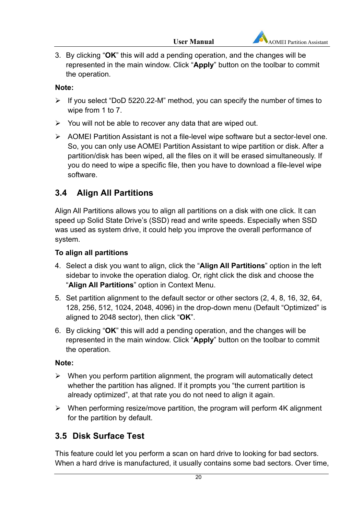3. By clicking "**OK**" this will add a pending operation, and the changes will be represented in the main window. Click "**Apply**" button on the toolbar to commit the operation.

#### **Note:**

- $\triangleright$  If you select "DoD 5220.22-M" method, you can specify the number of times to wipe from 1 to 7.
- $\triangleright$  You will not be able to recover any data that are wiped out.
- AOMEI Partition Assistant is not a file-level wipe software but a sector-level one. So, you can only use AOMEI Partition Assistant to wipe partition or disk. After a partition/disk has been wiped, all the files on it will be erased simultaneously. If you do need to wipe a specific file, then you have to download a file-level wipe software.

# **3.4 Align All Partitions**

Align All Partitions allows you to align all partitions on a disk with one click. It can speed up Solid State Drive's (SSD) read and write speeds. Especially when SSD was used as system drive, it could help you improve the overall performance of system.

### **To align all partitions**

- 4. Select a disk you want to align, click the "**Align All Partitions**" option in the left sidebar to invoke the operation dialog. Or, right click the disk and choose the "**Align All Partitions**" option in Context Menu.
- 5. Set partition alignment to the default sector or other sectors (2, 4, 8, 16, 32, 64, 128, 256, 512, 1024, 2048, 4096) in the drop-down menu (Default "Optimized" is aligned to 2048 sector), then click "**OK**".
- 6. By clicking "**OK**" this will add a pending operation, and the changes will be represented in the main window. Click "**Apply**" button on the toolbar to commit the operation.

### **Note:**

- $\triangleright$  When you perform partition alignment, the program will automatically detect whether the partition has aligned. If it prompts you "the current partition is already optimized", at that rate you do not need to align it again.
- $\triangleright$  When performing resize/move partition, the program will perform 4K alignment for the partition by default.

# **3.5 Disk Surface Test**

This feature could let you perform a scan on hard drive to looking for bad sectors. When a hard drive is manufactured, it usually contains some bad sectors. Over time,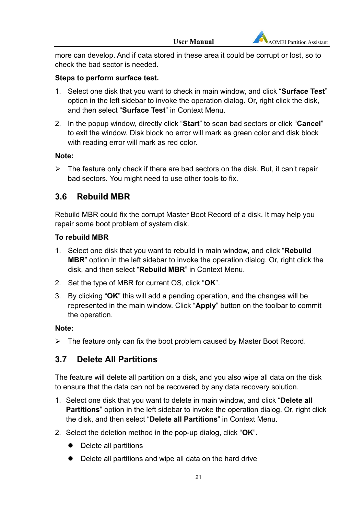

more can develop. And if data stored in these area it could be corrupt or lost, so to check the bad sector is needed.

#### **Steps to perform surface test.**

- 1. Select one disk that you want to check in main window, and click "**Surface Test**" option in the left sidebar to invoke the operation dialog. Or, right click the disk, and then select "**Surface Test**" in Context Menu.
- 2. In the popup window, directly click "**Start**" to scan bad sectors or click "**Cancel**" to exit the window. Disk block no error will mark as green color and disk block with reading error will mark as red color.

#### **Note:**

 $\triangleright$  The feature only check if there are bad sectors on the disk. But, it can't repair bad sectors. You might need to use other tools to fix.

### **3.6 Rebuild MBR**

Rebuild MBR could fix the corrupt Master Boot Record of a disk. It may help you repair some boot problem of system disk.

### **To rebuild MBR**

- 1. Select one disk that you want to rebuild in main window, and click "**Rebuild MBR**" option in the left sidebar to invoke the operation dialog. Or, right click the disk, and then select "**Rebuild MBR**" in Context Menu.
- 2. Set the type of MBR for current OS, click "**OK**".
- 3. By clicking "**OK**" this will add a pending operation, and the changes will be represented in the main window. Click "**Apply**" button on the toolbar to commit the operation.

#### **Note:**

 $\triangleright$  The feature only can fix the boot problem caused by Master Boot Record.

# **3.7 Delete All Partitions**

The feature will delete all partition on a disk, and you also wipe all data on the disk to ensure that the data can not be recovered by any data recovery solution.

- 1. Select one disk that you want to delete in main window, and click "**Delete all Partitions**" option in the left sidebar to invoke the operation dialog. Or, right click the disk, and then select "**Delete all Partitions**" in Context Menu.
- 2. Select the deletion method in the pop-up dialog, click "**OK**".
	- Delete all partitions
	- Delete all partitions and wipe all data on the hard drive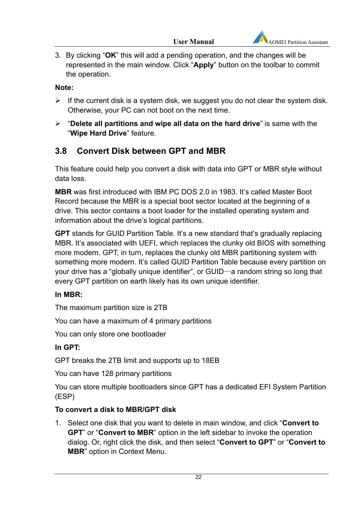3. By clicking "**OK**" this will add a pending operation, and the changes will be represented in the main window. Click "**Apply**" button on the toolbar to commit the operation.

### **Note:**

- $\triangleright$  If the current disk is a system disk, we suggest you do not clear the system disk. Otherwise, your PC can not boot on the next time.
- "**Delete all partitions and wipe all data on the hard drive**" is same with the "**Wipe Hard Drive**" feature.

### **3.8 Convert Disk between GPT and MBR**

This feature could help you convert a disk with data into GPT or MBR style without data loss.

**MBR** was first introduced with IBM PC DOS 2.0 in 1983. It's called Master Boot Record because the MBR is a special boot sector located at the beginning of a drive. This sector contains a boot loader for the installed operating system and information about the drive's logical partitions.

**GPT** stands for GUID Partition Table. It's a new standard that's gradually replacing MBR. It's associated with UEFI, which replaces the clunky old BIOS with something more modern. GPT, in turn, replaces the clunky old MBR partitioning system with something more modern. It's called GUID Partition Table because every partition on your drive has a "globally unique identifier", or GUID—a random string so long that every GPT partition on earth likely has its own unique identifier.

### **In MBR:**

The maximum partition size is 2TB

You can have a maximum of 4 primary partitions

You can only store one bootloader

### **In GPT:**

GPT breaks the 2TB limit and supports up to 18EB

You can have 128 primary partitions

You can store multiple bootloaders since GPT has a dedicated EFI System Partition (ESP)

### **To convert a disk to MBR/GPT disk**

1. Select one disk that you want to delete in main window, and click "**Convert to GPT**" or "**Convert to MBR**" option in the left sidebar to invoke the operation dialog. Or, right click the disk, and then select "**Convert to GPT**" or "**Convert to MBR**" option in Context Menu.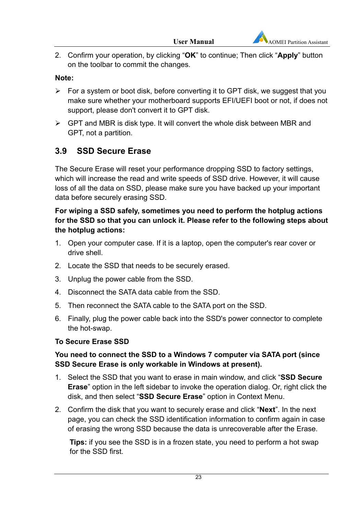

2. Confirm your operation, by clicking "**OK**" to continue; Then click "**Apply**" button on the toolbar to commit the changes.

#### **Note:**

- $\triangleright$  For a system or boot disk, before converting it to GPT disk, we suggest that you make sure whether your motherboard supports EFI/UEFI boot or not, if does not support, please don't convert it to GPT disk.
- $\triangleright$  GPT and MBR is disk type. It will convert the whole disk between MBR and GPT, not a partition.

### **3.9 SSD Secure Erase**

The Secure Erase will reset your performance dropping SSD to factory settings, which will increase the read and write speeds of SSD drive. However, it will cause loss of all the data on SSD, please make sure you have backed up your important data before securely erasing SSD.

### **For wiping a SSD safely, sometimes you need to perform the hotplug actions for the SSD so that you can unlock it. Please refer to the following steps about the hotplug actions:**

- 1. Open your computer case. If it is a laptop, open the computer's rear cover or drive shell.
- 2. Locate the SSD that needs to be securely erased.
- 3. Unplug the power cable from the SSD.
- 4. Disconnect the SATA data cable from the SSD.
- 5. Then reconnect the SATA cable to the SATA port on the SSD.
- 6. Finally, plug the power cable back into the SSD's power connector to complete the hot-swap.

#### **To Secure Erase SSD**

### **You need to connect the SSD to a Windows 7 computer via SATA port (since SSD Secure Erase is only workable in Windows at present).**

- 1. Select the SSD that you want to erase in main window, and click "**SSD Secure Erase**" option in the left sidebar to invoke the operation dialog. Or, right click the disk, and then select "**SSD Secure Erase**" option in Context Menu.
- 2. Confirm the disk that you want to securely erase and click "**Next**". In the next page, you can check the SSD identification information to confirm again in case of erasing the wrong SSD because the data is unrecoverable after the Erase.

**Tips:** if you see the SSD is in a frozen state, you need to perform a hot swap for the SSD first.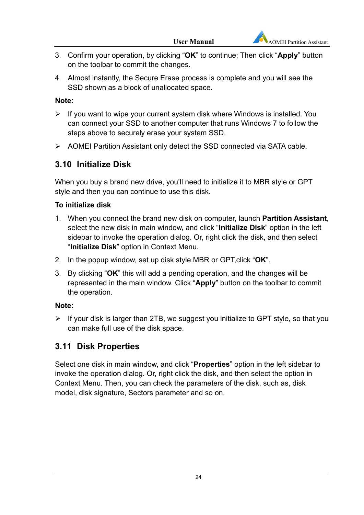

- 3. Confirm your operation, by clicking "**OK**" to continue; Then click "**Apply**" button on the toolbar to commit the changes.
- 4. Almost instantly, the Secure Erase process is complete and you will see the SSD shown as a block of unallocated space.

### **Note:**

- $\triangleright$  If you want to wipe your current system disk where Windows is installed. You can connect your SSD to another computer that runs Windows 7 to follow the steps above to securely erase your system SSD.
- AOMEI Partition Assistant only detect the SSD connected via SATA cable.

# **3.10 Initialize Disk**

When you buy a brand new drive, you'll need to initialize it to MBR style or GPT style and then you can continue to use this disk.

### **To initialize disk**

- 1. When you connect the brand new disk on computer, launch **Partition Assistant**, select the new disk in main window, and click "**Initialize Disk**" option in the left sidebar to invoke the operation dialog. Or, right click the disk, and then select "**Initialize Disk**" option in Context Menu.
- 2. In the popup window, set up disk style MBR or GPT,click "**OK**".
- 3. By clicking "**OK**" this will add a pending operation, and the changes will be represented in the main window. Click "**Apply**" button on the toolbar to commit the operation.

### **Note:**

 $\triangleright$  If your disk is larger than 2TB, we suggest you initialize to GPT style, so that you can make full use of the disk space.

# **3.11 Disk Properties**

Select one disk in main window, and click "**Properties**" option in the left sidebar to invoke the operation dialog. Or, right click the disk, and then select the option in Context Menu. Then, you can check the parameters of the disk, such as, disk model, disk signature, Sectors parameter and so on.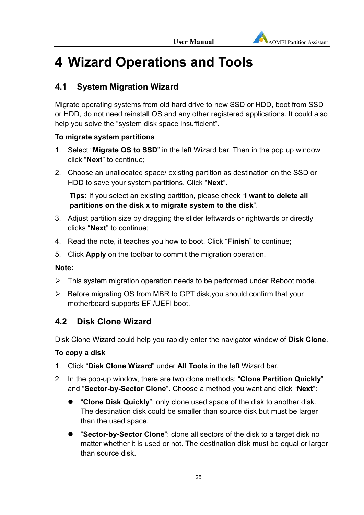

# **4 Wizard Operations and Tools**

# **4.1 System Migration Wizard**

Migrate operating systems from old hard drive to new SSD or HDD, boot from SSD or HDD, do not need reinstall OS and any other registered applications. It could also help you solve the "system disk space insufficient".

### **To migrate system partitions**

- 1. Select "**Migrate OS to SSD**" in the left Wizard bar. Then in the pop up window click "**Next**" to continue;
- 2. Choose an unallocated space/ existing partition as destination on the SSD or HDD to save your system partitions. Click "**Next**".

**Tips:** If you select an existing partition, please check "**I want to delete all partitions on the disk x to migrate system to the disk**".

- 3. Adjust partition size by dragging the slider leftwards or rightwards or directly clicks "**Next**" to continue;
- 4. Read the note, it teaches you how to boot. Click "**Finish**" to continue;
- 5. Click **Apply** on the toolbar to commit the migration operation.

### **Note:**

- > This system migration operation needs to be performed under Reboot mode.
- $\triangleright$  Before migrating OS from MBR to GPT disk, you should confirm that your motherboard supports EFI/UEFI boot.

# **4.2 Disk Clone Wizard**

Disk Clone Wizard could help you rapidly enter the navigator window of **Disk Clone**.

### **To copy a disk**

- 1. Click "**Disk Clone Wizard**" under **All Tools** in the left Wizard bar.
- 2. In the pop-up window, there are two clone methods: "**Clone Partition Quickly**" and "**Sector-by-Sector Clone**". Choose a method you want and click "**Next**":
	- "**Clone Disk Quickly**": only clone used space of the disk to another disk. The destination disk could be smaller than source disk but must be larger than the used space.
	- "**Sector-by-Sector Clone**": clone all sectors of the disk to a target disk no matter whether it is used or not. The destination disk must be equal or larger than source disk.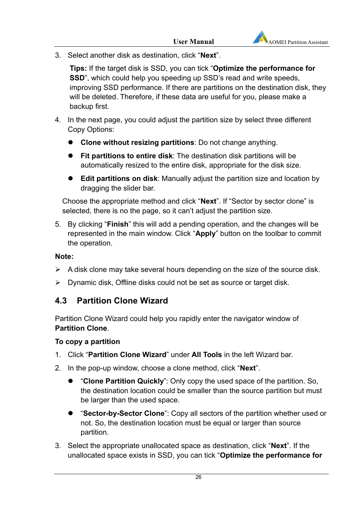3. Select another disk as destination, click "**Next**".

**Tips:** If the target disk is SSD, you can tick "**Optimize the performance for SSD**", which could help you speeding up SSD's read and write speeds, improving SSD performance. If there are partitions on the destination disk, they will be deleted. Therefore, if these data are useful for you, please make a backup first.

- 4. In the next page, you could adjust the partition size by select three different Copy Options:
	- **Clone without resizing partitions**: Do not change anything.
	- **Fit partitions to entire disk**: The destination disk partitions will be automatically resized to the entire disk, appropriate for the disk size.
	- **Edit partitions on disk**: Manually adjust the partition size and location by dragging the slider bar.

Choose the appropriate method and click "**Next**". If "Sector by sector clone" is selected, there is no the page, so it can't adjust the partition size.

5. By clicking "**Finish**" this will add a pending operation, and the changes will be represented in the main window. Click "**Apply**" button on the toolbar to commit the operation.

#### **Note:**

- $\triangleright$  A disk clone may take several hours depending on the size of the source disk.
- $\triangleright$  Dynamic disk, Offline disks could not be set as source or target disk.

### **4.3 Partition Clone Wizard**

Partition Clone Wizard could help you rapidly enter the navigator window of **Partition Clone**.

#### **To copy a partition**

- 1. Click "**Partition Clone Wizard**" under **All Tools** in the left Wizard bar.
- 2. In the pop-up window, choose a clone method, click "**Next**".
	- "**Clone Partition Quickly**": Only copy the used space of the partition. So, the destination location could be smaller than the source partition but must be larger than the used space.
	- "**Sector-by-Sector Clone**": Copy all sectors of the partition whether used or not. So, the destination location must be equal or larger than source partition.
- 3. Select the appropriate unallocated space as destination, click "**Next**". If the unallocated space exists in SSD, you can tick "**Optimize the performance for**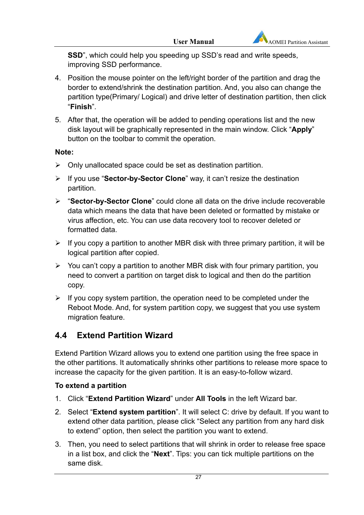**SSD**", which could help you speeding up SSD's read and write speeds, improving SSD performance.

- 4. Position the mouse pointer on the left/right border of the partition and drag the border to extend/shrink the destination partition. And, you also can change the partition type(Primary/ Logical) and drive letter of destination partition, then click "**Finish**".
- 5. After that, the operation will be added to pending operations list and the new disk layout will be graphically represented in the main window. Click "**Apply**" button on the toolbar to commit the operation.

### **Note:**

- $\triangleright$  Only unallocated space could be set as destination partition.
- If you use "**Sector-by-Sector Clone**" way, it can't resize the destination partition.
- "**Sector-by-Sector Clone**" could clone all data on the drive include recoverable data which means the data that have been deleted or formatted by mistake or virus affection, etc. You can use data recovery tool to recover deleted or formatted data.
- $\triangleright$  If you copy a partition to another MBR disk with three primary partition, it will be logical partition after copied.
- $\triangleright$  You can't copy a partition to another MBR disk with four primary partition, you need to convert a partition on target disk to logical and then do the partition copy.
- $\triangleright$  If you copy system partition, the operation need to be completed under the Reboot Mode. And, for system partition copy, we suggest that you use system migration feature.

# **4.4 Extend Partition Wizard**

Extend Partition Wizard allows you to extend one partition using the free space in the other partitions. It automatically shrinks other partitions to release more space to increase the capacity for the given partition. It is an easy-to-follow wizard.

### **To extend a partition**

- 1. Click "**Extend Partition Wizard**" under **All Tools** in the left Wizard bar.
- 2. Select "**Extend system partition**". It will select C: drive by default. If you want to extend other data partition, please click "Select any partition from any hard disk to extend" option, then select the partition you want to extend.
- 3. Then, you need to select partitions that will shrink in order to release free space in a list box, and click the "**Next**". Tips: you can tick multiple partitions on the same disk.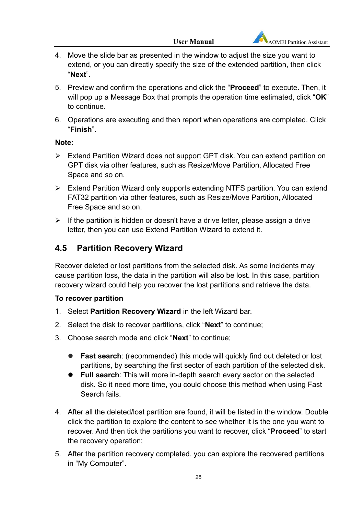- 4. Move the slide bar as presented in the window to adjust the size you want to extend, or you can directly specify the size of the extended partition, then click "**Next**".
- 5. Preview and confirm the operations and click the "**Proceed**" to execute. Then, it will pop up a Message Box that prompts the operation time estimated, click "**OK**" to continue.
- 6. Operations are executing and then report when operations are completed. Click "**Finish**".

### **Note:**

- Extend Partition Wizard does not support GPT disk. You can extend partition on GPT disk via other features, such as Resize/Move Partition, Allocated Free Space and so on.
- Extend Partition Wizard only supports extending NTFS partition. You can extend FAT32 partition via other features, such as Resize/Move Partition, Allocated Free Space and so on.
- $\triangleright$  If the partition is hidden or doesn't have a drive letter, please assign a drive letter, then you can use Extend Partition Wizard to extend it.

# **4.5 Partition Recovery Wizard**

Recover deleted or lost partitions from the selected disk. As some incidents may cause partition loss, the data in the partition will also be lost. In this case, partition recovery wizard could help you recover the lost partitions and retrieve the data.

#### **To recover partition**

- 1. Select **Partition Recovery Wizard** in the left Wizard bar.
- 2. Select the disk to recover partitions, click "**Next**" to continue;
- 3. Choose search mode and click "**Next**" to continue;
	- **Fast search**: (recommended) this mode will quickly find out deleted or lost partitions, by searching the first sector of each partition of the selected disk.
	- **Full search**: This will more in-depth search every sector on the selected disk. So it need more time, you could choose this method when using Fast Search fails.
- 4. After all the deleted/lost partition are found, it will be listed in the window. Double click the partition to explore the content to see whether it is the one you want to recover. And then tick the partitions you want to recover, click "**Proceed**" to start the recovery operation;
- 5. After the partition recovery completed, you can explore the recovered partitions in "My Computer".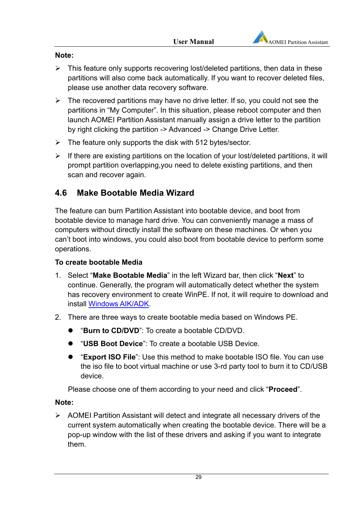

#### **Note:**

- $\triangleright$  This feature only supports recovering lost/deleted partitions, then data in these partitions will also come back automatically. If you want to recover deleted files, please use another data recovery software.
- $\triangleright$  The recovered partitions may have no drive letter. If so, you could not see the partitions in "My Computer". In this situation, please reboot computer and then launch AOMEI Partition Assistant manually assign a drive letter to the partition by right clicking the partition -> Advanced -> Change Drive Letter.
- $\triangleright$  The feature only supports the disk with 512 bytes/sector.
- $\triangleright$  If there are existing partitions on the location of your lost/deleted partitions, it will prompt partition overlapping,you need to delete existing partitions, and then scan and recover again.

### **4.6 Make Bootable Media Wizard**

The feature can burn Partition Assistant into bootable device, and boot from bootable device to manage hard drive. You can conveniently manage a mass of computers without directly install the software on these machines. Or when you can't boot into windows, you could also boot from bootable device to perform some operations.

#### **To create bootable Media**

- 1. Select "**Make Bootable Media**" in the left Wizard bar, then click "**Next**" to continue. Generally, the program will automatically detect whether the system has recovery environment to create WinPE. If not, it will require to download and install Windows AIK/ADK.
- 2. There are three ways to create bootable media based on Windows PE.
	- "**Burn to CD/DVD**": To create a bootable CD/DVD.
	- "**USB Boot Device**": To create a bootable USB Device.
	- "**Export ISO File**": Use this method to make bootable ISO file. You can use the iso file to boot virtual machine or use 3-rd party tool to burn it to CD/USB device.

Please choose one of them according to your need and click "**Proceed**".

#### **Note:**

 $\triangleright$  AOMEI Partition Assistant will detect and integrate all necessary drivers of the current system automatically when creating the bootable device. There will be a pop-up window with the list of these drivers and asking if you want to integrate them.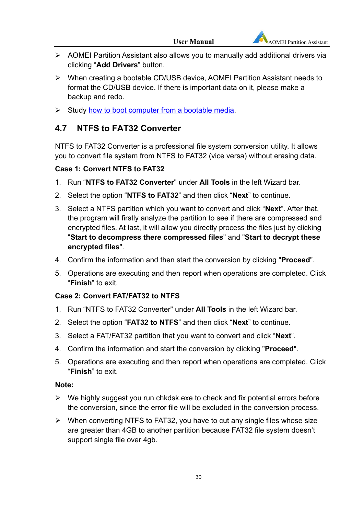- AOMEI Partition Assistant also allows you to manually add additional drivers via clicking "**Add Drivers**" button.
- When creating a bootable CD/USB device, AOMEI Partition Assistant needs to format the CD/USB device. If there is important data on it, please make a backup and redo.
- $\triangleright$  Study how to boot computer from a bootable media.

# **4.7 NTFS to FAT32 Converter**

NTFS to FAT32 Converter is a professional file system conversion utility. It allows you to convert file system from NTFS to FAT32 (vice versa) without erasing data.

### **Case 1: Convert NTFS to FAT32**

- 1. Run "**NTFS to FAT32 Converter**" under **All Tools** in the left Wizard bar.
- 2. Select the option "**NTFS to FAT32**" and then click "**Next**" to continue.
- 3. Select a NTFS partition which you want to convert and click "**Next**". After that, the program will firstly analyze the partition to see if there are compressed and encrypted files. At last, it will allow you directly process the files just by clicking "**Start to decompress there compressed files**" and "**Start to decrypt these encrypted files**".
- 4. Confirm the information and then start the conversion by clicking "**Proceed**".
- 5. Operations are executing and then report when operations are completed. Click "**Finish**" to exit.

### **Case 2: Convert FAT/FAT32 to NTFS**

- 1. Run "NTFS to FAT32 Converter" under **All Tools** in the left Wizard bar.
- 2. Select the option "**FAT32 to NTFS**" and then click "**Next**" to continue.
- 3. Select a FAT/FAT32 partition that you want to convert and click "**Next**".
- 4. Confirm the information and start the conversion by clicking "**Proceed**".
- 5. Operations are executing and then report when operations are completed. Click "**Finish**" to exit.

#### **Note:**

- $\triangleright$  We highly suggest you run chkdsk.exe to check and fix potential errors before the conversion, since the error file will be excluded in the conversion process.
- $\triangleright$  When converting NTFS to FAT32, you have to cut any single files whose size are greater than 4GB to another partition because FAT32 file system doesn't support single file over 4gb.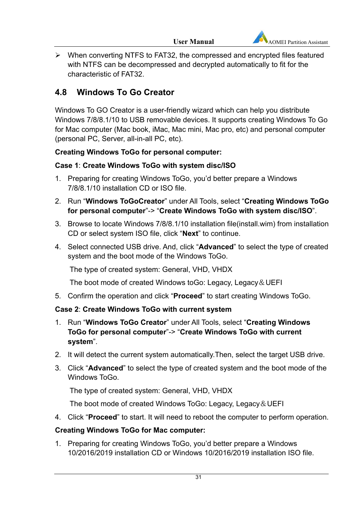$\triangleright$  When converting NTFS to FAT32, the compressed and encrypted files featured with NTFS can be decompressed and decrypted automatically to fit for the characteristic of FAT32.

# **4.8 Windows To Go Creator**

Windows To GO Creator is a user-friendly wizard which can help you distribute Windows 7/8/8.1/10 to USB removable devices. It supports creating Windows To Go for Mac computer (Mac book, iMac, Mac mini, Mac pro, etc) and personal computer (personal PC, Server, all-in-all PC, etc).

### **Creating Windows ToGo for personal computer:**

### **Case 1**: **Create Windows ToGo with system disc/ISO**

- 1. Preparing for creating Windows ToGo, you'd better prepare a Windows 7/8/8.1/10 installation CD or ISO file.
- 2. Run "**Windows ToGoCreator**" under All Tools, select "**Creating Windows ToGo for personal computer**"-> "**Create Windows ToGo with system disc/ISO**".
- 3. Browse to locate Windows 7/8/8.1/10 installation file(install.wim) from installation CD or select system ISO file, click "**Next**" to continue.
- 4. Select connected USB drive. And, click "**Advanced**" to select the type of created system and the boot mode of the Windows ToGo.

The type of created system: General, VHD, VHDX

The boot mode of created Windows toGo: Legacy, Legacy&UEFI

5. Confirm the operation and click "**Proceed**" to start creating Windows ToGo.

### **Case 2**: **Create Windows ToGo with current system**

- 1. Run "**Windows ToGo Creator**" under All Tools, select "**Creating Windows ToGo for personal computer**"-> "**Create Windows ToGo with current system**".
- 2. It will detect the current system automatically.Then, select the target USB drive.
- 3. Click "**Advanced**" to select the type of created system and the boot mode of the Windows ToGo.

The type of created system: General, VHD, VHDX

The boot mode of created Windows ToGo: Legacy, Legacy & UEFI

4. Click "**Proceed**" to start. It will need to reboot the computer to perform operation.

### **Creating Windows ToGo for Mac computer:**

1. Preparing for creating Windows ToGo, you'd better prepare a Windows 10/2016/2019 installation CD or Windows 10/2016/2019 installation ISO file.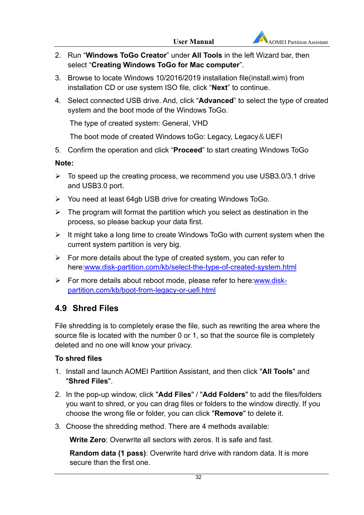- 2. Run "**Windows ToGo Creator**" under **All Tools** in the left Wizard bar, then select "**Creating Windows ToGo for Mac computer**".
- 3. Browse to locate Windows 10/2016/2019 installation file(install.wim) from installation CD or use system ISO file, click "**Next**" to continue.
- 4. Select connected USB drive. And, click "**Advanced**" to select the type of created system and the boot mode of the Windows ToGo.

The type of created system: General, VHD

The boot mode of created Windows toGo: Legacy, Legacy & UEFI

5. Confirm the operation and click "**Proceed**" to start creating Windows ToGo

### **Note:**

- $\triangleright$  To speed up the creating process, we recommend you use USB3.0/3.1 drive and USB3.0 port.
- $\triangleright$  You need at least 64gb USB drive for creating Windows ToGo.
- $\triangleright$  The program will format the partition which you select as destination in the process, so please backup your data first.
- $\triangleright$  It might take a long time to create Windows ToGo with current system when the current system partition is very big.
- $\triangleright$  For more details about the type of created system, you can refer to here:www.disk-partition.com/kb/select-the-type-of-created-system.html
- $\triangleright$  For more details about reboot mode, please refer to here:www.diskpartition.com/kb/boot-from-legacy-or-uefi.html

# **4.9 Shred Files**

File shredding is to completely erase the file, such as rewriting the area where the source file is located with the number 0 or 1, so that the source file is completely deleted and no one will know your privacy.

### **To shred files**

- 1. Install and launch AOMEI Partition Assistant, and then click "**All Tools**" and "**Shred Files**".
- 2. In the pop-up window, click "**Add Files**" / "**Add Folders**" to add the files/folders you want to shred, or you can drag files or folders to the window directly. If you choose the wrong file or folder, you can click "**Remove**" to delete it.
- 3. Choose the shredding method. There are 4 methods available:

**Write Zero:** Overwrite all sectors with zeros. It is safe and fast.

**Random data (1 pass)**: Overwrite hard drive with random data. It is more secure than the first one.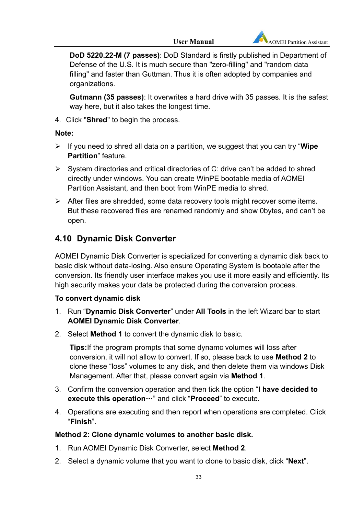**DoD 5220.22-M (7 passes)**: DoD Standard is firstly published in Department of Defense of the U.S. It is much secure than "zero-filling" and "random data filling" and faster than Guttman. Thus it is often adopted by companies and organizations.

**Gutmann (35 passes)**: It overwrites a hard drive with 35 passes. It is the safest way here, but it also takes the longest time.

4. Click "**Shred**" to begin the process.

### **Note:**

- If you need to shred all data on a partition, we suggest that you can try "**Wipe Partition**" feature.
- $\triangleright$  System directories and critical directories of C: drive can't be added to shred directly under windows. You can create WinPE bootable media of AOMEI Partition Assistant, and then boot from WinPE media to shred.
- $\triangleright$  After files are shredded, some data recovery tools might recover some items. But these recovered files are renamed randomly and show 0bytes, and can't be open.

# **4.10 Dynamic Disk Converter**

AOMEI Dynamic Disk Converter is specialized for converting a dynamic disk back to basic disk without data-losing. Also ensure Operating System is bootable after the conversion. Its friendly user interface makes you use it more easily and efficiently. Its high security makes your data be protected during the conversion process.

### **To convert dynamic disk**

- 1. Run "**Dynamic Disk Converter**" under **All Tools** in the left Wizard bar to start **AOMEI Dynamic Disk Converter**.
- 2. Select **Method 1** to convert the dynamic disk to basic.

**Tips:**If the program prompts that some dynamc volumes will loss after conversion, it will not allow to convert. If so, please back to use **Method 2** to clone these "loss" volumes to any disk, and then delete them via windows Disk Management. After that, please convert again via **Method 1**.

- 3. Confirm the conversion operation and then tick the option "**I have decided to execute this operation**…" and click "**Proceed**" to execute.
- 4. Operations are executing and then report when operations are completed. Click "**Finish**".

### **Method 2: Clone dynamic volumes to another basic disk.**

- 1. Run AOMEI Dynamic Disk Converter, select **Method 2**.
- 2. Select a dynamic volume that you want to clone to basic disk, click "**Next**".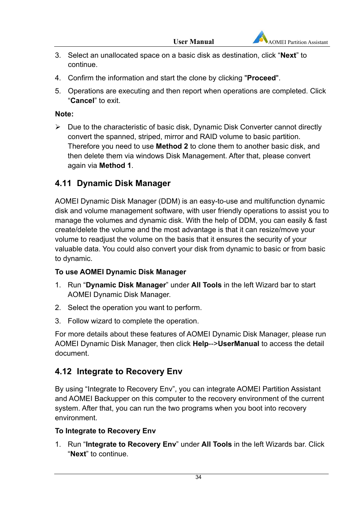- 3. Select an unallocated space on a basic disk as destination, click "**Next**" to continue.
- 4. Confirm the information and start the clone by clicking "**Proceed**".
- 5. Operations are executing and then report when operations are completed. Click "**Cancel**" to exit.

### **Note:**

 $\triangleright$  Due to the characteristic of basic disk, Dynamic Disk Converter cannot directly convert the spanned, striped, mirror and RAID volume to basic partition. Therefore you need to use **Method 2** to clone them to another basic disk, and then delete them via windows Disk Management. After that, please convert again via **Method 1**.

# **4.11 Dynamic Disk Manager**

AOMEI Dynamic Disk Manager (DDM) is an easy-to-use and multifunction dynamic disk and volume management software, with user friendly operations to assist you to manage the volumes and dynamic disk. With the help of DDM, you can easily & fast create/delete the volume and the most advantage is that it can resize/move your volume to readjust the volume on the basis that it ensures the security of your valuable data. You could also convert your disk from dynamic to basic or from basic to dynamic.

### **To use AOMEI Dynamic Disk Manager**

- 1. Run "**Dynamic Disk Manager**" under **All Tools** in the left Wizard bar to start AOMEI Dynamic Disk Manager.
- 2. Select the operation you want to perform.
- 3. Follow wizard to complete the operation.

For more details about these features of AOMEI Dynamic Disk Manager, please run AOMEI Dynamic Disk Manager, then click **Help**-->**UserManual** to access the detail document.

# **4.12 Integrate to Recovery Env**

By using "Integrate to Recovery Env", you can integrate AOMEI Partition Assistant and AOMEI Backupper on this computer to the recovery environment of the current system. After that, you can run the two programs when you boot into recovery environment.

### **To Integrate to Recovery Env**

1. Run "**Integrate to Recovery Env**" under **All Tools** in the left Wizards bar. Click "**Next**" to continue.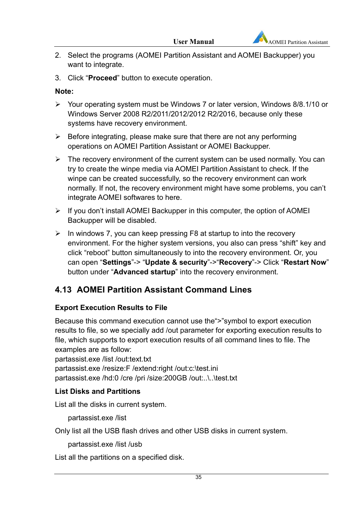- 2. Select the programs (AOMEI Partition Assistant and AOMEI Backupper) you want to integrate.
- 3. Click "**Proceed**" button to execute operation.

#### **Note:**

- Your operating system must be Windows 7 or later version, Windows 8/8.1/10 or Windows Server 2008 R2/2011/2012/2012 R2/2016, because only these systems have recovery environment.
- $\triangleright$  Before integrating, please make sure that there are not any performing operations on AOMEI Partition Assistant or AOMEI Backupper.
- $\triangleright$  The recovery environment of the current system can be used normally. You can try to create the winpe media via AOMEI Partition Assistant to check. If the winpe can be created successfully, so the recovery environment can work normally. If not, the recovery environment might have some problems, you can't integrate AOMEI softwares to here.
- $\triangleright$  If you don't install AOMEI Backupper in this computer, the option of AOMEI Backupper will be disabled.
- $\triangleright$  In windows 7, you can keep pressing F8 at startup to into the recovery environment. For the higher system versions, you also can press "shift" key and click "reboot" button simultaneously to into the recovery environment. Or, you can open "**Settings**"-> "**Update & security**"->"**Recovery**"-> Click "**Restart Now**" button under "**Advanced startup**" into the recovery environment.

# **4.13 AOMEI Partition Assistant Command Lines**

### **Export Execution Results to File**

Because this command execution cannot use the">"symbol to export execution results to file, so we specially add /out parameter for exporting execution results to file, which supports to export execution results of all command lines to file. The examples are as follow:

partassist.exe /list /out:text.txt partassist.exe /resize:F /extend:right /out:c:\test.ini partassist.exe /hd:0 /cre /pri /size:200GB /out:..\..\test.txt

### **List Disks and Partitions**

List all the disks in current system.

partassist.exe /list

Only list all the USB flash drives and other USB disks in current system.

partassist.exe /list /usb

List all the partitions on a specified disk.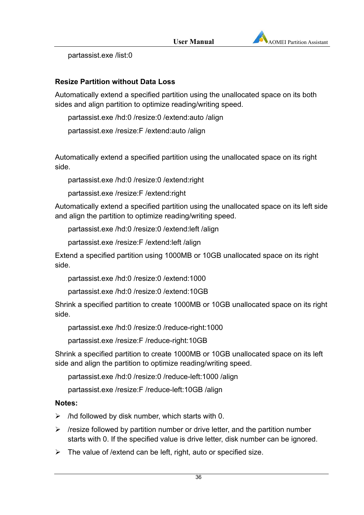

partassist.exe /list:0

### **Resize Partition without Data Loss**

Automatically extend a specified partition using the unallocated space on its both sides and align partition to optimize reading/writing speed.

partassist.exe /hd:0 /resize:0 /extend:auto /align

partassist.exe /resize:F /extend:auto /align

Automatically extend a specified partition using the unallocated space on its right side.

partassist.exe /hd:0 /resize:0 /extend:right

partassist.exe /resize:F /extend:right

Automatically extend a specified partition using the unallocated space on its left side and align the partition to optimize reading/writing speed.

partassist.exe /hd:0 /resize:0 /extend:left /align

partassist.exe /resize:F /extend:left /align

Extend a specified partition using 1000MB or 10GB unallocated space on its right side.

partassist.exe /hd:0 /resize:0 /extend:1000

partassist.exe /hd:0 /resize:0 /extend:10GB

Shrink a specified partition to create 1000MB or 10GB unallocated space on its right side.

partassist.exe /hd:0 /resize:0 /reduce-right:1000

partassist.exe /resize:F /reduce-right:10GB

Shrink a specified partition to create 1000MB or 10GB unallocated space on its left side and align the partition to optimize reading/writing speed.

partassist.exe /hd:0 /resize:0 /reduce-left:1000 /align

partassist.exe /resize:F /reduce-left:10GB /align

#### **Notes:**

 $\triangleright$  /hd followed by disk number, which starts with 0.

- $\triangleright$  /resize followed by partition number or drive letter, and the partition number starts with 0. If the specified value is drive letter, disk number can be ignored.
- $\triangleright$  The value of /extend can be left, right, auto or specified size.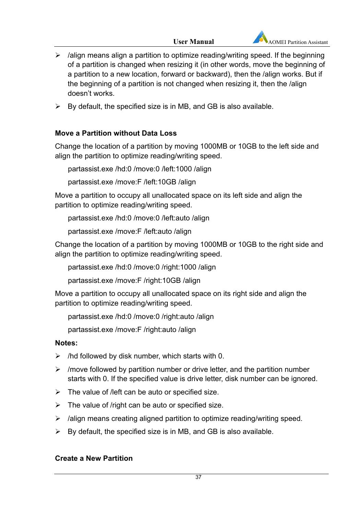

- $\triangleright$  /align means align a partition to optimize reading/writing speed. If the beginning of a partition is changed when resizing it (in other words, move the beginning of a partition to a new location, forward or backward), then the /align works. But if the beginning of a partition is not changed when resizing it, then the /align doesn't works.
- $\triangleright$  By default, the specified size is in MB, and GB is also available.

### **Move a Partition without Data Loss**

Change the location of a partition by moving 1000MB or 10GB to the left side and align the partition to optimize reading/writing speed.

partassist.exe /hd:0 /move:0 /left:1000 /align

partassist.exe /move:F /left:10GB /align

Move a partition to occupy all unallocated space on its left side and align the partition to optimize reading/writing speed.

partassist.exe /hd:0 /move:0 /left:auto /align

partassist.exe /move:F /left:auto /align

Change the location of a partition by moving 1000MB or 10GB to the right side and align the partition to optimize reading/writing speed.

partassist.exe /hd:0 /move:0 /right:1000 /align

partassist.exe /move:F /right:10GB /align

Move a partition to occupy all unallocated space on its right side and align the partition to optimize reading/writing speed.

partassist.exe /hd:0 /move:0 /right:auto /align

partassist.exe /move:F /right:auto /align

### **Notes:**

- $\triangleright$  /hd followed by disk number, which starts with 0.
- $\triangleright$  /move followed by partition number or drive letter, and the partition number starts with 0. If the specified value is drive letter, disk number can be ignored.
- $\triangleright$  The value of /left can be auto or specified size.
- $\triangleright$  The value of /right can be auto or specified size.
- $\triangleright$  /align means creating aligned partition to optimize reading/writing speed.
- $\triangleright$  By default, the specified size is in MB, and GB is also available.

### **Create a New Partition**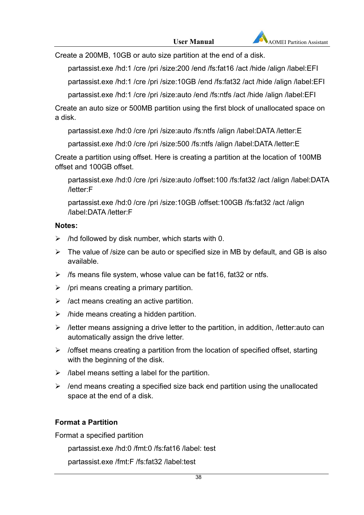Create a 200MB, 10GB or auto size partition at the end of a disk.

partassist.exe /hd:1 /cre /pri /size:200 /end /fs:fat16 /act /hide /align /label:EFI

partassist.exe /hd:1 /cre /pri /size:10GB /end /fs:fat32 /act /hide /align /label:EFI

partassist.exe /hd:1 /cre /pri /size:auto /end /fs:ntfs /act /hide /align /label:EFI

Create an auto size or 500MB partition using the first block of unallocated space on a disk.

partassist.exe /hd:0 /cre /pri /size:auto /fs:ntfs /align /label:DATA /letter:E

partassist.exe /hd:0 /cre /pri /size:500 /fs:ntfs /align /label:DATA /letter:E

Create a partition using offset. Here is creating a partition at the location of 100MB offset and 100GB offset.

partassist.exe /hd:0 /cre /pri /size:auto /offset:100 /fs:fat32 /act /align /label:DATA /letter:F

partassist.exe /hd:0 /cre /pri /size:10GB /offset:100GB /fs:fat32 /act /align /label:DATA /letter:F

### **Notes:**

- $\triangleright$  /hd followed by disk number, which starts with 0.
- $\triangleright$  The value of /size can be auto or specified size in MB by default, and GB is also available.
- $\triangleright$  /fs means file system, whose value can be fat16, fat32 or ntfs.
- $\triangleright$  /pri means creating a primary partition.
- $\triangleright$  /act means creating an active partition.
- $\triangleright$  /hide means creating a hidden partition.
- $\triangleright$  /letter means assigning a drive letter to the partition, in addition, /letter:auto can automatically assign the drive letter.
- $\triangleright$  /offset means creating a partition from the location of specified offset, starting with the beginning of the disk.
- $\triangleright$  /label means setting a label for the partition.
- $\triangleright$  /end means creating a specified size back end partition using the unallocated space at the end of a disk.

### **Format a Partition**

Format a specified partition

partassist.exe /hd:0 /fmt:0 /fs:fat16 /label: test

partassist.exe /fmt:F /fs:fat32 /label:test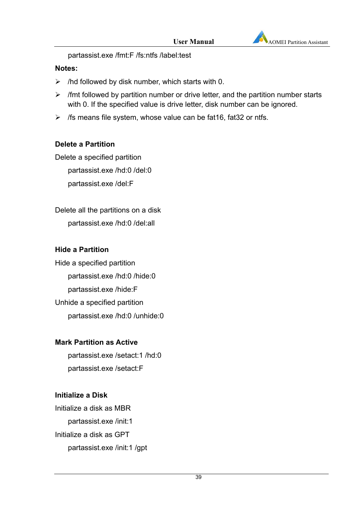

partassist.exe /fmt:F /fs:ntfs /label:test

#### **Notes:**

- $\triangleright$  /hd followed by disk number, which starts with 0.
- $\triangleright$  /fmt followed by partition number or drive letter, and the partition number starts with 0. If the specified value is drive letter, disk number can be ignored.
- $\triangleright$  /fs means file system, whose value can be fat16, fat32 or ntfs.

#### **Delete a Partition**

Delete a specified partition

partassist.exe /hd:0 /del:0

partassist.exe /del:F

Delete all the partitions on a disk partassist.exe /hd:0 /del:all

#### **Hide a Partition**

Hide a specified partition partassist.exe /hd:0 /hide:0 partassist.exe /hide:F Unhide a specified partition partassist.exe /hd:0 /unhide:0

#### **Mark Partition as Active**

partassist.exe /setact:1 /hd:0 partassist.exe /setact:F

#### **Initialize a Disk**

Initialize a disk as MBR partassist.exe /init:1 Initialize a disk as GPT partassist.exe /init:1 /gpt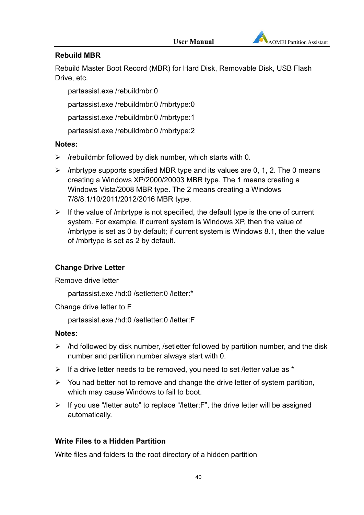

### **Rebuild MBR**

Rebuild Master Boot Record (MBR) for Hard Disk, Removable Disk, USB Flash Drive, etc.

partassist.exe /rebuildmbr:0

partassist.exe /rebuildmbr:0 /mbrtype:0

partassist.exe /rebuildmbr:0 /mbrtype:1

partassist.exe /rebuildmbr:0 /mbrtype:2

### **Notes:**

- $\triangleright$  /rebuildmbr followed by disk number, which starts with 0.
- $\triangleright$  /mbrtype supports specified MBR type and its values are 0, 1, 2. The 0 means creating a Windows XP/2000/20003 MBR type. The 1 means creating a Windows Vista/2008 MBR type. The 2 means creating a Windows 7/8/8.1/10/2011/2012/2016 MBR type.
- $\triangleright$  If the value of /mbrtype is not specified, the default type is the one of current system. For example, if current system is Windows XP, then the value of /mbrtype is set as 0 by default; if current system is Windows 8.1, then the value of /mbrtype is set as 2 by default.

### **Change Drive Letter**

Remove drive letter

partassist.exe /hd:0 /setletter:0 /letter:\*

Change drive letter to F

partassist.exe /hd:0 /setletter:0 /letter:F

### **Notes:**

- $\triangleright$  /hd followed by disk number, /setletter followed by partition number, and the disk number and partition number always start with 0.
- $\triangleright$  If a drive letter needs to be removed, you need to set /letter value as \*
- $\triangleright$  You had better not to remove and change the drive letter of system partition, which may cause Windows to fail to boot.
- $\triangleright$  If you use "/letter auto" to replace "/letter: F", the drive letter will be assigned automatically.

### **Write Files to a Hidden Partition**

Write files and folders to the root directory of a hidden partition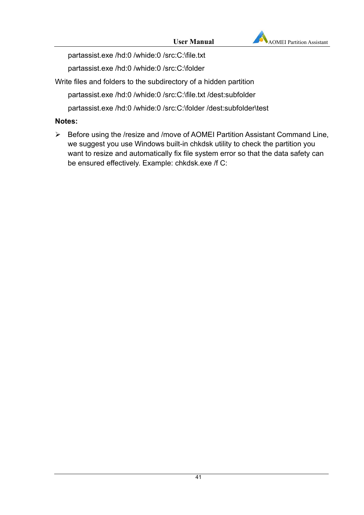

partassist.exe /hd:0 /whide:0 /src:C:\file.txt

partassist.exe /hd:0 /whide:0 /src:C:\folder

Write files and folders to the subdirectory of a hidden partition

partassist.exe /hd:0 /whide:0 /src:C:\file.txt /dest:subfolder

partassist.exe /hd:0 /whide:0 /src:C:\folder /dest:subfolder\test

### **Notes:**

 Before using the /resize and /move of AOMEI Partition Assistant Command Line, we suggest you use Windows built-in chkdsk utility to check the partition you want to resize and automatically fix file system error so that the data safety can be ensured effectively. Example: chkdsk.exe /f C: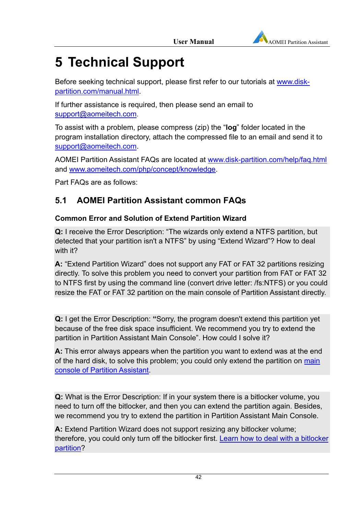

# **5 Technical Support**

Before seeking technical support, please first refer to our tutorials at www.diskpartition.com/manual.html.

If further assistance is required, then please send an email to support@aomeitech.com.

To assist with a problem, please compress (zip) the "**log**" folder located in the program installation directory, attach the compressed file to an email and send it to support@aomeitech.com.

AOMEI Partition Assistant FAQs are located at www.disk-partition.com/help/faq.html and www.aomeitech.com/php/concept/knowledge.

Part FAQs are as follows:

# **5.1 AOMEI Partition Assistant common FAQs**

### **Common Error and Solution of Extend Partition Wizard**

**Q:** I receive the Error Description: "The wizards only extend a NTFS partition, but detected that your partition isn't a NTFS" by using "Extend Wizard"? How to deal with it?

**A:** "Extend Partition Wizard" does not support any FAT or FAT 32 partitions resizing directly. To solve this problem you need to convert your partition from FAT or FAT 32 to NTFS first by using the command line (convert drive letter: /fs:NTFS) or you could resize the FAT or FAT 32 partition on the main console of Partition Assistant directly.

**Q:** I get the Error Description: **"**Sorry, the program doesn't extend this partition yet because of the free disk space insufficient. We recommend you try to extend the partition in Partition Assistant Main Console". How could I solve it?

**A:** This error always appears when the partition you want to extend was at the end of the hard disk, to solve this problem; you could only extend the partition on main console of Partition Assistant.

**Q:** What is the Error Description: If in your system there is a bitlocker volume, you need to turn off the bitlocker, and then you can extend the partition again. Besides, we recommend you try to extend the partition in Partition Assistant Main Console.

**A:** Extend Partition Wizard does not support resizing any bitlocker volume; therefore, you could only turn off the bitlocker first. Learn how to deal with a bitlocker partition?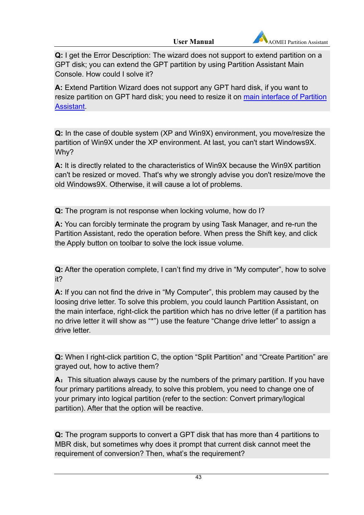**Q:** I get the Error Description: The wizard does not support to extend partition on a GPT disk; you can extend the GPT partition by using Partition Assistant Main Console. How could I solve it?

**A:** Extend Partition Wizard does not support any GPT hard disk, if you want to resize partition on GPT hard disk; you need to resize it on main interface of Partition **Assistant** 

**Q:** In the case of double system (XP and Win9X) environment, you move/resize the partition of Win9X under the XP environment. At last, you can't start Windows9X. Why?

**A:** It is directly related to the characteristics of Win9X because the Win9X partition can't be resized or moved. That's why we strongly advise you don't resize/move the old Windows9X. Otherwise, it will cause a lot of problems.

**Q:** The program is not response when locking volume, how do I?

**A:** You can forcibly terminate the program by using Task Manager, and re-run the Partition Assistant, redo the operation before. When press the Shift key, and click the Apply button on toolbar to solve the lock issue volume.

**Q:** After the operation complete, I can't find my drive in "My computer", how to solve it?

**A:** If you can not find the drive in "My Computer", this problem may caused by the loosing drive letter. To solve this problem, you could launch Partition Assistant, on the main interface, right-click the partition which has no drive letter (if a partition has no drive letter it will show as "\*") use the feature "Change drive letter" to assign a drive letter.

**Q:** When I right-click partition C, the option "Split Partition" and "Create Partition" are grayed out, how to active them?

A: This situation always cause by the numbers of the primary partition. If you have four primary partitions already, to solve this problem, you need to change one of your primary into logical partition (refer to the section: Convert primary/logical partition). After that the option will be reactive.

**Q:** The program supports to convert a GPT disk that has more than 4 partitions to MBR disk, but sometimes why does it prompt that current disk cannot meet the requirement of conversion? Then, what's the requirement?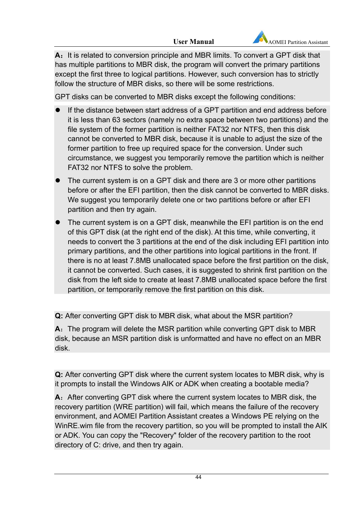

A: It is related to conversion principle and MBR limits. To convert a GPT disk that has multiple partitions to MBR disk, the program will convert the primary partitions except the first three to logical partitions. However, such conversion has to strictly follow the structure of MBR disks, so there will be some restrictions.

GPT disks can be converted to MBR disks except the following conditions:

- If the distance between start address of a GPT partition and end address before it is less than 63 sectors (namely no extra space between two partitions) and the file system of the former partition is neither FAT32 nor NTFS, then this disk cannot be converted to MBR disk, because it is unable to adjust the size of the former partition to free up required space for the conversion. Under such circumstance, we suggest you temporarily remove the partition which is neither FAT32 nor NTFS to solve the problem.
- The current system is on a GPT disk and there are 3 or more other partitions before or after the EFI partition, then the disk cannot be converted to MBR disks. We suggest you temporarily delete one or two partitions before or after EFI partition and then try again.
- The current system is on a GPT disk, meanwhile the EFI partition is on the end of this GPT disk (at the right end of the disk). At this time, while converting, it needs to convert the 3 partitions at the end of the disk including EFI partition into primary partitions, and the other partitions into logical partitions in the front. If there is no at least 7.8MB unallocated space before the first partition on the disk, it cannot be converted. Such cases, it is suggested to shrink first partition on the disk from the left side to create at least 7.8MB unallocated space before the first partition, or temporarily remove the first partition on this disk.

**Q:** After converting GPT disk to MBR disk, what about the MSR partition?

**A:** The program will delete the MSR partition while converting GPT disk to MBR disk, because an MSR partition disk is unformatted and have no effect on an MBR disk.

**Q:** After converting GPT disk where the current system locates to MBR disk, why is it prompts to install the Windows AIK or ADK when creating a bootable media?

**A:** After converting GPT disk where the current system locates to MBR disk, the recovery partition (WRE partition) will fail, which means the failure of the recovery environment, and AOMEI Partition Assistant creates a Windows PE relying on the WinRE.wim file from the recovery partition, so you will be prompted to install the AIK or ADK. You can copy the "Recovery" folder of the recovery partition to the root directory of C: drive, and then try again.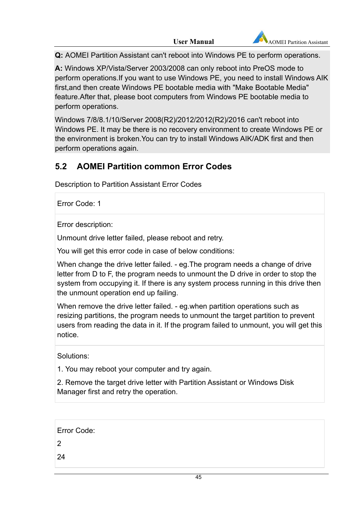**Q:** AOMEI Partition Assistant can't reboot into Windows PE to perform operations.

**A:** Windows XP/Vista/Server 2003/2008 can only reboot into PreOS mode to perform operations.If you want to use Windows PE, you need to install Windows AIK first,and then create Windows PE bootable media with "Make Bootable Media" feature.After that, please boot computers from Windows PE bootable media to perform operations.

Windows 7/8/8.1/10/Server 2008(R2)/2012/2012(R2)/2016 can't reboot into Windows PE. It may be there is no recovery environment to create Windows PE or the environment is broken.You can try to install Windows AIK/ADK first and then perform operations again.

# **5.2 AOMEI Partition common Error Codes**

Description to Partition Assistant Error Codes

Error Code: 1

Error description:

Unmount drive letter failed, please reboot and retry.

You will get this error code in case of below conditions:

When change the drive letter failed. - eg.The program needs a change of drive letter from D to F, the program needs to unmount the D drive in order to stop the system from occupying it. If there is any system process running in this drive then the unmount operation end up failing.

When remove the drive letter failed. - eg.when partition operations such as resizing partitions, the program needs to unmount the target partition to prevent users from reading the data in it. If the program failed to unmount, you will get this notice.

Solutions:

1. You may reboot your computer and try again.

2. Remove the target drive letter with Partition Assistant or Windows Disk Manager first and retry the operation.

| Error Code: |  |  |
|-------------|--|--|
| 2           |  |  |
| 24          |  |  |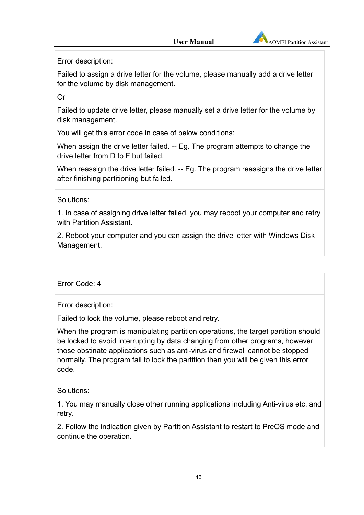

Error description:

Failed to assign a drive letter for the volume, please manually add a drive letter for the volume by disk management.

Or

Failed to update drive letter, please manually set a drive letter for the volume by disk management.

You will get this error code in case of below conditions:

When assign the drive letter failed. -- Eg. The program attempts to change the drive letter from D to F but failed.

When reassign the drive letter failed. -- Eg. The program reassigns the drive letter after finishing partitioning but failed.

Solutions:

1. In case of assigning drive letter failed, you may reboot your computer and retry with Partition Assistant.

2. Reboot your computer and you can assign the drive letter with Windows Disk Management.

Error Code: 4

Error description:

Failed to lock the volume, please reboot and retry.

When the program is manipulating partition operations, the target partition should be locked to avoid interrupting by data changing from other programs, however those obstinate applications such as anti-virus and firewall cannot be stopped normally. The program fail to lock the partition then you will be given this error code.

Solutions:

1. You may manually close other running applications including Anti-virus etc. and retry.

2. Follow the indication given by Partition Assistant to restart to PreOS mode and continue the operation.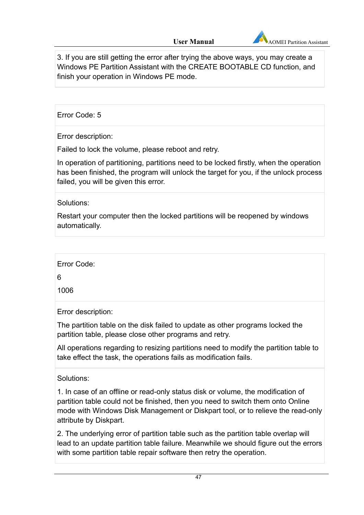

3. If you are still getting the error after trying the above ways, you may create a Windows PE Partition Assistant with the CREATE BOOTABLE CD function, and finish your operation in Windows PE mode.

Error Code: 5

Error description:

Failed to lock the volume, please reboot and retry.

In operation of partitioning, partitions need to be locked firstly, when the operation has been finished, the program will unlock the target for you, if the unlock process failed, you will be given this error.

Solutions:

Restart your computer then the locked partitions will be reopened by windows automatically.

Error Code: 6

1006

Error description:

The partition table on the disk failed to update as other programs locked the partition table, please close other programs and retry.

All operations regarding to resizing partitions need to modify the partition table to take effect the task, the operations fails as modification fails.

Solutions:

1. In case of an offline or read-only status disk or volume, the modification of partition table could not be finished, then you need to switch them onto Online mode with Windows Disk Management or Diskpart tool, or to relieve the read-only attribute by Diskpart.

2. The underlying error of partition table such as the partition table overlap will lead to an update partition table failure. Meanwhile we should figure out the errors with some partition table repair software then retry the operation.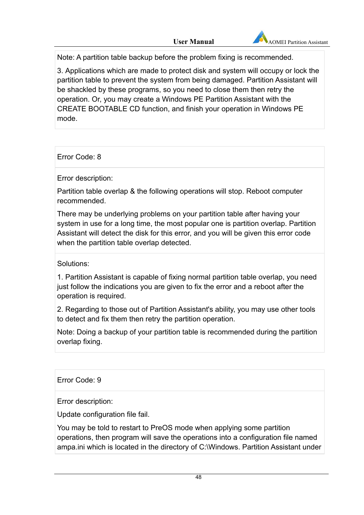

Note: A partition table backup before the problem fixing is recommended.

3. Applications which are made to protect disk and system will occupy or lock the partition table to prevent the system from being damaged. Partition Assistant will be shackled by these programs, so you need to close them then retry the operation. Or, you may create a Windows PE Partition Assistant with the CREATE BOOTABLE CD function, and finish your operation in Windows PE mode.

Error Code: 8

Error description:

Partition table overlap & the following operations will stop. Reboot computer recommended.

There may be underlying problems on your partition table after having your system in use for a long time, the most popular one is partition overlap. Partition Assistant will detect the disk for this error, and you will be given this error code when the partition table overlap detected.

Solutions:

1. Partition Assistant is capable of fixing normal partition table overlap, you need just follow the indications you are given to fix the error and a reboot after the operation is required.

2. Regarding to those out of Partition Assistant's ability, you may use other tools to detect and fix them then retry the partition operation.

Note: Doing a backup of your partition table is recommended during the partition overlap fixing.

Error Code: 9

Error description:

Update configuration file fail.

You may be told to restart to PreOS mode when applying some partition operations, then program will save the operations into a configuration file named ampa.ini which is located in the directory of C:\Windows. Partition Assistant under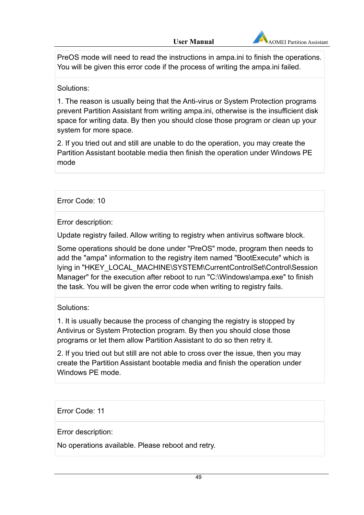

PreOS mode will need to read the instructions in ampa.ini to finish the operations. You will be given this error code if the process of writing the ampa.ini failed.

Solutions:

1. The reason is usually being that the Anti-virus or System Protection programs prevent Partition Assistant from writing ampa.ini, otherwise is the insufficient disk space for writing data. By then you should close those program or clean up your system for more space.

2. If you tried out and still are unable to do the operation, you may create the Partition Assistant bootable media then finish the operation under Windows PE mode

Error Code: 10

Error description:

Update registry failed. Allow writing to registry when antivirus software block.

Some operations should be done under "PreOS" mode, program then needs to add the "ampa" information to the registry item named "BootExecute" which is lying in "HKEY\_LOCAL\_MACHINE\SYSTEM\CurrentControlSet\Control\Session Manager" for the execution after reboot to run "C:\Windows\ampa.exe" to finish the task. You will be given the error code when writing to registry fails.

Solutions:

1. It is usually because the process of changing the registry is stopped by Antivirus or System Protection program. By then you should close those programs or let them allow Partition Assistant to do so then retry it.

2. If you tried out but still are not able to cross over the issue, then you may create the Partition Assistant bootable media and finish the operation under Windows PE mode.

Error Code: 11

Error description:

No operations available. Please reboot and retry.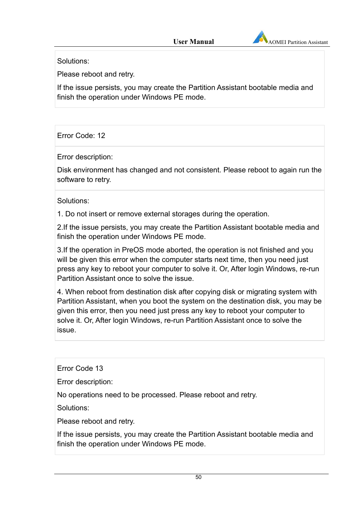

Solutions:

Please reboot and retry.

If the issue persists, you may create the Partition Assistant bootable media and finish the operation under Windows PE mode.

Error Code: 12

Error description:

Disk environment has changed and not consistent. Please reboot to again run the software to retry.

Solutions:

1. Do not insert or remove external storages during the operation.

2.If the issue persists, you may create the Partition Assistant bootable media and finish the operation under Windows PE mode.

3.If the operation in PreOS mode aborted, the operation is not finished and you will be given this error when the computer starts next time, then you need just press any key to reboot your computer to solve it. Or, After login Windows, re-run Partition Assistant once to solve the issue.

4. When reboot from destination disk after copying disk or migrating system with Partition Assistant, when you boot the system on the destination disk, you may be given this error, then you need just press any key to reboot your computer to solve it. Or, After login Windows, re-run Partition Assistant once to solve the issue.

Error Code 13

Error description:

No operations need to be processed. Please reboot and retry.

Solutions:

Please reboot and retry.

If the issue persists, you may create the Partition Assistant bootable media and finish the operation under Windows PE mode.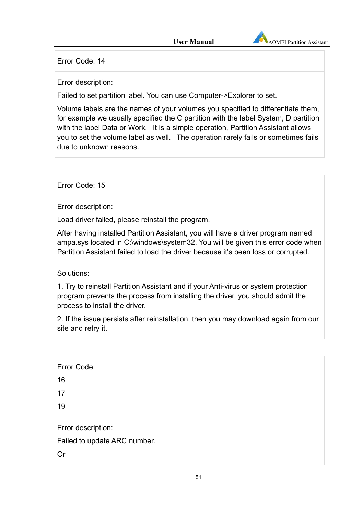

Error Code: 14

Error description:

Failed to set partition label. You can use Computer->Explorer to set.

Volume labels are the names of your volumes you specified to differentiate them, for example we usually specified the C partition with the label System, D partition with the label Data or Work. It is a simple operation, Partition Assistant allows you to set the volume label as well. The operation rarely fails or sometimes fails due to unknown reasons.

Error Code: 15

Error description:

Load driver failed, please reinstall the program.

After having installed Partition Assistant, you will have a driver program named ampa.sys located in C:\windows\system32. You will be given this error code when Partition Assistant failed to load the driver because it's been loss or corrupted.

Solutions:

1. Try to reinstall Partition Assistant and if your Anti-virus or system protection program prevents the process from installing the driver, you should admit the process to install the driver.

2. If the issue persists after reinstallation, then you may download again from our site and retry it.

| Error Code:                  |  |  |
|------------------------------|--|--|
| 16                           |  |  |
| 17                           |  |  |
| 19                           |  |  |
| Error description:           |  |  |
| Failed to update ARC number. |  |  |
| Or                           |  |  |
|                              |  |  |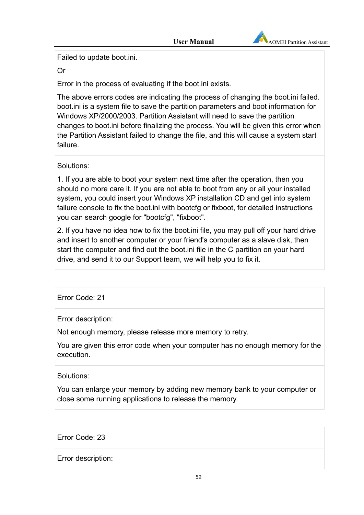

Failed to update boot.ini.

Or

Error in the process of evaluating if the boot.ini exists.

The above errors codes are indicating the process of changing the boot.ini failed. boot.ini is a system file to save the partition parameters and boot information for Windows XP/2000/2003. Partition Assistant will need to save the partition changes to boot.ini before finalizing the process. You will be given this error when the Partition Assistant failed to change the file, and this will cause a system start failure.

Solutions:

1. If you are able to boot your system next time after the operation, then you should no more care it. If you are not able to boot from any or all your installed system, you could insert your Windows XP installation CD and get into system failure console to fix the boot.ini with bootcfg or fixboot, for detailed instructions you can search google for "bootcfg", "fixboot".

2. If you have no idea how to fix the boot.ini file, you may pull off your hard drive and insert to another computer or your friend's computer as a slave disk, then start the computer and find out the boot.ini file in the C partition on your hard drive, and send it to our Support team, we will help you to fix it.

Error Code: 21

Error description:

Not enough memory, please release more memory to retry.

You are given this error code when your computer has no enough memory for the execution.

Solutions:

You can enlarge your memory by adding new memory bank to your computer or close some running applications to release the memory.

Error Code: 23

Error description: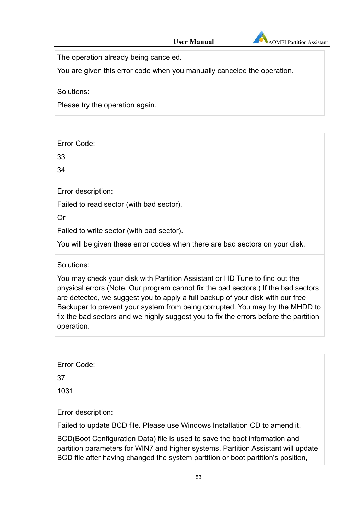

The operation already being canceled.

You are given this error code when you manually canceled the operation.

Solutions:

Please try the operation again.

Error Code:

33

34

Error description:

Failed to read sector (with bad sector).

Or

Failed to write sector (with bad sector).

You will be given these error codes when there are bad sectors on your disk.

Solutions:

You may check your disk with Partition Assistant or HD Tune to find out the physical errors (Note. Our program cannot fix the bad sectors.) If the bad sectors are detected, we suggest you to apply a full backup of your disk with our free Backuper to prevent your system from being corrupted. You may try the MHDD to fix the bad sectors and we highly suggest you to fix the errors before the partition operation.

Error Code:

37

1031

Error description:

Failed to update BCD file. Please use Windows Installation CD to amend it.

BCD(Boot Configuration Data) file is used to save the boot information and partition parameters for WIN7 and higher systems. Partition Assistant will update BCD file after having changed the system partition or boot partition's position,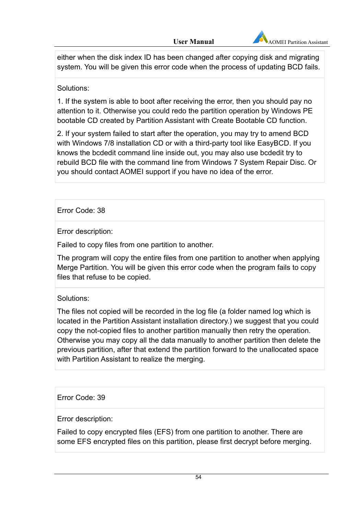

either when the disk index ID has been changed after copying disk and migrating system. You will be given this error code when the process of updating BCD fails.

### Solutions:

1. If the system is able to boot after receiving the error, then you should pay no attention to it. Otherwise you could redo the partition operation by Windows PE bootable CD created by Partition Assistant with Create Bootable CD function.

2. If your system failed to start after the operation, you may try to amend BCD with Windows 7/8 installation CD or with a third-party tool like EasyBCD. If you knows the bcdedit command line inside out, you may also use bcdedit try to rebuild BCD file with the command line from Windows 7 System Repair Disc. Or you should contact AOMEI support if you have no idea of the error.

### Error Code: 38

Error description:

Failed to copy files from one partition to another.

The program will copy the entire files from one partition to another when applying Merge Partition. You will be given this error code when the program fails to copy files that refuse to be copied.

### Solutions:

The files not copied will be recorded in the log file (a folder named log which is located in the Partition Assistant installation directory.) we suggest that you could copy the not-copied files to another partition manually then retry the operation. Otherwise you may copy all the data manually to another partition then delete the previous partition, after that extend the partition forward to the unallocated space with Partition Assistant to realize the merging.

### Error Code: 39

Error description:

Failed to copy encrypted files (EFS) from one partition to another. There are some EFS encrypted files on this partition, please first decrypt before merging.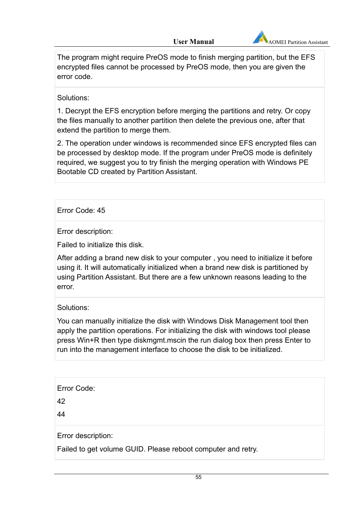

The program might require PreOS mode to finish merging partition, but the EFS encrypted files cannot be processed by PreOS mode, then you are given the error code.

#### Solutions:

1. Decrypt the EFS encryption before merging the partitions and retry. Or copy the files manually to another partition then delete the previous one, after that extend the partition to merge them.

2. The operation under windows is recommended since EFS encrypted files can be processed by desktop mode. If the program under PreOS mode is definitely required, we suggest you to try finish the merging operation with Windows PE Bootable CD created by Partition Assistant.

### Error Code: 45

Error description:

Failed to initialize this disk.

After adding a brand new disk to your computer , you need to initialize it before using it. It will automatically initialized when a brand new disk is partitioned by using Partition Assistant. But there are a few unknown reasons leading to the error.

#### Solutions:

You can manually initialize the disk with Windows Disk Management tool then apply the partition operations. For initializing the disk with windows tool please press Win+R then type diskmgmt.mscin the run dialog box then press Enter to run into the management interface to choose the disk to be initialized.

42

44

Error description:

Failed to get volume GUID. Please reboot computer and retry.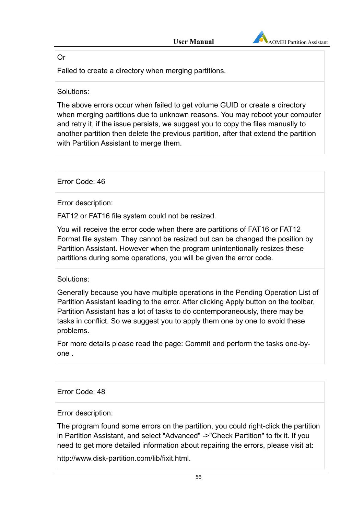

#### Or

Failed to create a directory when merging partitions.

#### Solutions:

The above errors occur when failed to get volume GUID or create a directory when merging partitions due to unknown reasons. You may reboot your computer and retry it, if the issue persists, we suggest you to copy the files manually to another partition then delete the previous partition, after that extend the partition with Partition Assistant to merge them.

Error Code: 46

Error description:

FAT12 or FAT16 file system could not be resized.

You will receive the error code when there are partitions of FAT16 or FAT12 Format file system. They cannot be resized but can be changed the position by Partition Assistant. However when the program unintentionally resizes these partitions during some operations, you will be given the error code.

Solutions:

Generally because you have multiple operations in the Pending Operation List of Partition Assistant leading to the error. After clicking Apply button on the toolbar, Partition Assistant has a lot of tasks to do contemporaneously, there may be tasks in conflict. So we suggest you to apply them one by one to avoid these problems.

For more details please read the page: Commit and perform the tasks one-byone .

### Error Code: 48

Error description:

The program found some errors on the partition, you could right-click the partition in Partition Assistant, and select "Advanced" ->"Check Partition" to fix it. If you need to get more detailed information about repairing the errors, please visit at:

http://www.disk-partition.com/lib/fixit.html.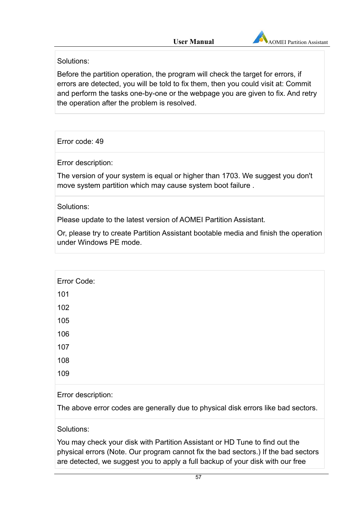

Solutions:

Before the partition operation, the program will check the target for errors, if errors are detected, you will be told to fix them, then you could visit at: Commit and perform the tasks one-by-one or the webpage you are given to fix. And retry the operation after the problem is resolved.

Error code: 49

Error description:

The version of your system is equal or higher than 1703. We suggest you don't move system partition which may cause system boot failure .

Solutions:

Please update to the latest version of AOMEI Partition Assistant.

Or, please try to create Partition Assistant bootable media and finish the operation under Windows PE mode.

Error Code: 101 102 105 106 107 108 109 Error description: The above error codes are generally due to physical disk errors like bad sectors.

Solutions:

You may check your disk with Partition Assistant or HD Tune to find out the physical errors (Note. Our program cannot fix the bad sectors.) If the bad sectors are detected, we suggest you to apply a full backup of your disk with our free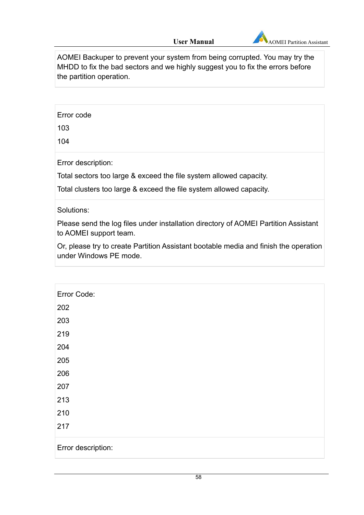

AOMEI Backuper to prevent your system from being corrupted. You may try the MHDD to fix the bad sectors and we highly suggest you to fix the errors before the partition operation.

Error code

103

104

Error description:

Total sectors too large & exceed the file system allowed capacity.

Total clusters too large & exceed the file system allowed capacity.

Solutions:

Please send the log files under installation directory of AOMEI Partition Assistant to AOMEI support team.

Or, please try to create Partition Assistant bootable media and finish the operation under Windows PE mode.

| Error Code:        |
|--------------------|
| 202                |
| 203                |
| 219                |
| 204                |
| 205                |
| 206                |
| 207                |
| 213                |
| 210                |
| 217                |
| Error description: |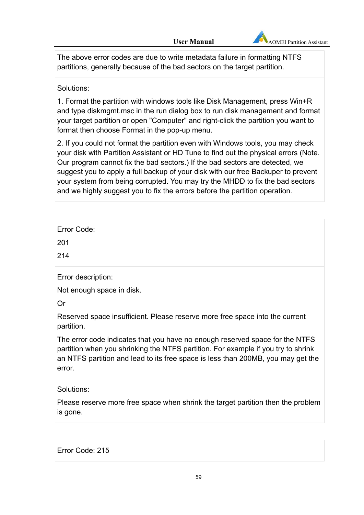

The above error codes are due to write metadata failure in formatting NTFS partitions, generally because of the bad sectors on the target partition.

### Solutions:

1. Format the partition with windows tools like Disk Management, press Win+R and type diskmgmt.msc in the run dialog box to run disk management and format your target partition or open "Computer" and right-click the partition you want to format then choose Format in the pop-up menu.

2. If you could not format the partition even with Windows tools, you may check your disk with Partition Assistant or HD Tune to find out the physical errors (Note. Our program cannot fix the bad sectors.) If the bad sectors are detected, we suggest you to apply a full backup of your disk with our free Backuper to prevent your system from being corrupted. You may try the MHDD to fix the bad sectors and we highly suggest you to fix the errors before the partition operation.

| Error Code:                                                                                                                                                                                                                                                     |
|-----------------------------------------------------------------------------------------------------------------------------------------------------------------------------------------------------------------------------------------------------------------|
| 201                                                                                                                                                                                                                                                             |
| 214                                                                                                                                                                                                                                                             |
| Error description:                                                                                                                                                                                                                                              |
| Not enough space in disk.                                                                                                                                                                                                                                       |
| Or                                                                                                                                                                                                                                                              |
| Reserved space insufficient. Please reserve more free space into the current<br>partition.                                                                                                                                                                      |
| The error code indicates that you have no enough reserved space for the NTFS<br>partition when you shrinking the NTFS partition. For example if you try to shrink<br>an NTFS partition and lead to its free space is less than 200MB, you may get the<br>error. |
| Solutions:                                                                                                                                                                                                                                                      |
| Please reserve more free space when shrink the target partition then the problem<br>is gone.                                                                                                                                                                    |
|                                                                                                                                                                                                                                                                 |

Error Code: 215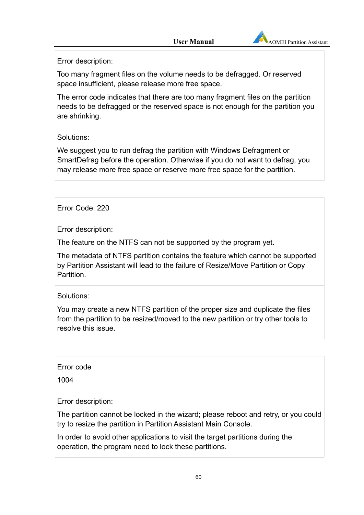

Error description:

Too many fragment files on the volume needs to be defragged. Or reserved space insufficient, please release more free space.

The error code indicates that there are too many fragment files on the partition needs to be defragged or the reserved space is not enough for the partition you are shrinking.

Solutions:

We suggest you to run defrag the partition with Windows Defragment or SmartDefrag before the operation. Otherwise if you do not want to defrag, you may release more free space or reserve more free space for the partition.

Error Code: 220

Error description:

The feature on the NTFS can not be supported by the program yet.

The metadata of NTFS partition contains the feature which cannot be supported by Partition Assistant will lead to the failure of Resize/Move Partition or Copy Partition.

Solutions:

You may create a new NTFS partition of the proper size and duplicate the files from the partition to be resized/moved to the new partition or try other tools to resolve this issue.

Error code

1004

Error description:

The partition cannot be locked in the wizard; please reboot and retry, or you could try to resize the partition in Partition Assistant Main Console.

In order to avoid other applications to visit the target partitions during the operation, the program need to lock these partitions.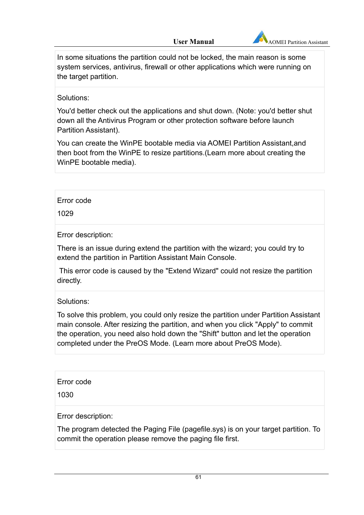

In some situations the partition could not be locked, the main reason is some system services, antivirus, firewall or other applications which were running on the target partition.

#### Solutions:

You'd better check out the applications and shut down. (Note: you'd better shut down all the Antivirus Program or other protection software before launch Partition Assistant).

You can create the WinPE bootable media via AOMEI Partition Assistant,and then boot from the WinPE to resize partitions.(Learn more about creating the WinPE bootable media).

Error code

1029

Error description:

There is an issue during extend the partition with the wizard; you could try to extend the partition in Partition Assistant Main Console.

 This error code is caused by the "Extend Wizard" could not resize the partition directly.

Solutions:

To solve this problem, you could only resize the partition under Partition Assistant main console. After resizing the partition, and when you click "Apply" to commit the operation, you need also hold down the "Shift" button and let the operation completed under the PreOS Mode. (Learn more about PreOS Mode).

Error code

1030

Error description:

The program detected the Paging File (pagefile.sys) is on your target partition. To commit the operation please remove the paging file first.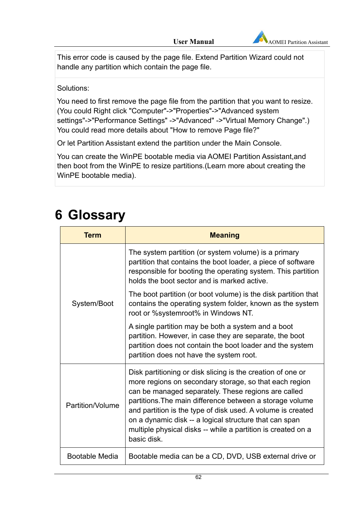

This error code is caused by the page file. Extend Partition Wizard could not handle any partition which contain the page file.

### Solutions:

You need to first remove the page file from the partition that you want to resize. (You could Right click "Computer"->"Properties"->"Advanced system settings"->"Performance Settings" ->"Advanced" ->"Virtual Memory Change".) You could read more details about "How to remove Page file?"

Or let Partition Assistant extend the partition under the Main Console.

You can create the WinPE bootable media via AOMEI Partition Assistant,and then boot from the WinPE to resize partitions.(Learn more about creating the WinPE bootable media).

# **6 Glossary**

| Term                  | <b>Meaning</b>                                                                                                                                                                                                                                                                                                                                                                                                                                   |
|-----------------------|--------------------------------------------------------------------------------------------------------------------------------------------------------------------------------------------------------------------------------------------------------------------------------------------------------------------------------------------------------------------------------------------------------------------------------------------------|
|                       | The system partition (or system volume) is a primary<br>partition that contains the boot loader, a piece of software<br>responsible for booting the operating system. This partition<br>holds the boot sector and is marked active.                                                                                                                                                                                                              |
| System/Boot           | The boot partition (or boot volume) is the disk partition that<br>contains the operating system folder, known as the system<br>root or %systemroot% in Windows NT.                                                                                                                                                                                                                                                                               |
|                       | A single partition may be both a system and a boot<br>partition. However, in case they are separate, the boot<br>partition does not contain the boot loader and the system<br>partition does not have the system root.                                                                                                                                                                                                                           |
| Partition/Volume      | Disk partitioning or disk slicing is the creation of one or<br>more regions on secondary storage, so that each region<br>can be managed separately. These regions are called<br>partitions. The main difference between a storage volume<br>and partition is the type of disk used. A volume is created<br>on a dynamic disk -- a logical structure that can span<br>multiple physical disks -- while a partition is created on a<br>basic disk. |
| <b>Bootable Media</b> | Bootable media can be a CD, DVD, USB external drive or                                                                                                                                                                                                                                                                                                                                                                                           |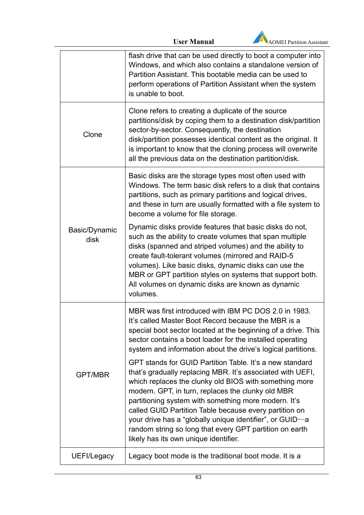

|                       | flash drive that can be used directly to boot a computer into<br>Windows, and which also contains a standalone version of<br>Partition Assistant. This bootable media can be used to<br>perform operations of Partition Assistant when the system<br>is unable to boot.                                                                                                                                                                                                                                                 |
|-----------------------|-------------------------------------------------------------------------------------------------------------------------------------------------------------------------------------------------------------------------------------------------------------------------------------------------------------------------------------------------------------------------------------------------------------------------------------------------------------------------------------------------------------------------|
| Clone                 | Clone refers to creating a duplicate of the source<br>partitions/disk by coping them to a destination disk/partition<br>sector-by-sector. Consequently, the destination<br>disk/partition possesses identical content as the original. It<br>is important to know that the cloning process will overwrite<br>all the previous data on the destination partition/disk.                                                                                                                                                   |
|                       | Basic disks are the storage types most often used with<br>Windows. The term basic disk refers to a disk that contains<br>partitions, such as primary partitions and logical drives,<br>and these in turn are usually formatted with a file system to<br>become a volume for file storage.                                                                                                                                                                                                                               |
| Basic/Dynamic<br>disk | Dynamic disks provide features that basic disks do not,<br>such as the ability to create volumes that span multiple<br>disks (spanned and striped volumes) and the ability to<br>create fault-tolerant volumes (mirrored and RAID-5<br>volumes). Like basic disks, dynamic disks can use the<br>MBR or GPT partition styles on systems that support both.<br>All volumes on dynamic disks are known as dynamic<br>volumes.                                                                                              |
|                       | MBR was first introduced with IBM PC DOS 2.0 in 1983.<br>It's called Master Boot Record because the MBR is a<br>special boot sector located at the beginning of a drive. This<br>sector contains a boot loader for the installed operating<br>system and information about the drive's logical partitions.                                                                                                                                                                                                              |
| <b>GPT/MBR</b>        | GPT stands for GUID Partition Table. It's a new standard<br>that's gradually replacing MBR. It's associated with UEFI,<br>which replaces the clunky old BIOS with something more<br>modern. GPT, in turn, replaces the clunky old MBR<br>partitioning system with something more modern. It's<br>called GUID Partition Table because every partition on<br>your drive has a "globally unique identifier", or GUID-a<br>random string so long that every GPT partition on earth<br>likely has its own unique identifier. |
| UEFI/Legacy           | Legacy boot mode is the traditional boot mode. It is a                                                                                                                                                                                                                                                                                                                                                                                                                                                                  |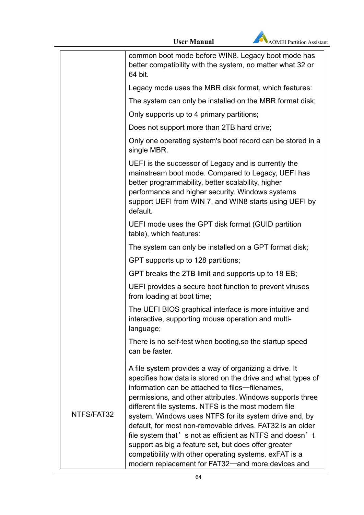

|            | common boot mode before WIN8. Legacy boot mode has<br>better compatibility with the system, no matter what 32 or<br>64 bit.                                                                                                                                                                                                                                                                                                                                                                                                                                                                       |
|------------|---------------------------------------------------------------------------------------------------------------------------------------------------------------------------------------------------------------------------------------------------------------------------------------------------------------------------------------------------------------------------------------------------------------------------------------------------------------------------------------------------------------------------------------------------------------------------------------------------|
|            | Legacy mode uses the MBR disk format, which features:                                                                                                                                                                                                                                                                                                                                                                                                                                                                                                                                             |
|            | The system can only be installed on the MBR format disk;                                                                                                                                                                                                                                                                                                                                                                                                                                                                                                                                          |
|            | Only supports up to 4 primary partitions;                                                                                                                                                                                                                                                                                                                                                                                                                                                                                                                                                         |
|            | Does not support more than 2TB hard drive;                                                                                                                                                                                                                                                                                                                                                                                                                                                                                                                                                        |
|            | Only one operating system's boot record can be stored in a<br>single MBR.                                                                                                                                                                                                                                                                                                                                                                                                                                                                                                                         |
|            | UEFI is the successor of Legacy and is currently the<br>mainstream boot mode. Compared to Legacy, UEFI has<br>better programmability, better scalability, higher<br>performance and higher security. Windows systems<br>support UEFI from WIN 7, and WIN8 starts using UEFI by<br>default.                                                                                                                                                                                                                                                                                                        |
|            | UEFI mode uses the GPT disk format (GUID partition<br>table), which features:                                                                                                                                                                                                                                                                                                                                                                                                                                                                                                                     |
|            | The system can only be installed on a GPT format disk;                                                                                                                                                                                                                                                                                                                                                                                                                                                                                                                                            |
|            | GPT supports up to 128 partitions;                                                                                                                                                                                                                                                                                                                                                                                                                                                                                                                                                                |
|            | GPT breaks the 2TB limit and supports up to 18 EB;                                                                                                                                                                                                                                                                                                                                                                                                                                                                                                                                                |
|            | UEFI provides a secure boot function to prevent viruses<br>from loading at boot time;                                                                                                                                                                                                                                                                                                                                                                                                                                                                                                             |
|            | The UEFI BIOS graphical interface is more intuitive and<br>interactive, supporting mouse operation and multi-<br>language;                                                                                                                                                                                                                                                                                                                                                                                                                                                                        |
|            | There is no self-test when booting, so the startup speed<br>can be faster.                                                                                                                                                                                                                                                                                                                                                                                                                                                                                                                        |
| NTFS/FAT32 | A file system provides a way of organizing a drive. It<br>specifies how data is stored on the drive and what types of<br>information can be attached to files-filenames,<br>permissions, and other attributes. Windows supports three<br>different file systems. NTFS is the most modern file<br>system. Windows uses NTFS for its system drive and, by<br>default, for most non-removable drives. FAT32 is an older<br>file system that's not as efficient as NTFS and doesn't<br>support as big a feature set, but does offer greater<br>compatibility with other operating systems. exFAT is a |
|            | modern replacement for FAT32—and more devices and                                                                                                                                                                                                                                                                                                                                                                                                                                                                                                                                                 |